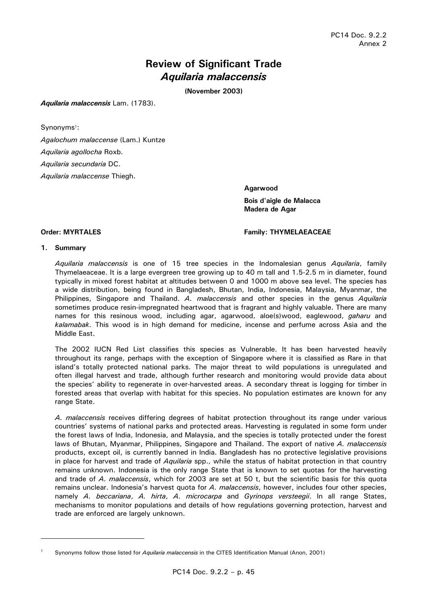# **Review of Significant Trade**  *Aquilaria malaccensis*

**(November 2003)** 

*Aquilaria malaccensis* Lam. (1783).

Synonyms<sup>1</sup>:

*Agalochum malaccense* (Lam.) Kuntze *Aquilaria agollocha* Roxb. *Aquilaria secundaria* DC. *Aquilaria malaccense* Thiegh.

> **Agarwood Bois d'aigle de Malacca Madera de Agar**

#### **Order: MYRTALES Family: THYMELAEACEAE**

#### **1. Summary**

 *Aquilaria malaccensis* is one of 15 tree species in the Indomalesian genus *Aquilaria*, family Thymelaeaceae. It is a large evergreen tree growing up to 40 m tall and 1.5-2.5 m in diameter, found typically in mixed forest habitat at altitudes between 0 and 1000 m above sea level. The species has a wide distribution, being found in Bangladesh, Bhutan, India, Indonesia, Malaysia, Myanmar, the Philippines, Singapore and Thailand. *A. malaccensis* and other species in the genus *Aquilaria*  sometimes produce resin-impregnated heartwood that is fragrant and highly valuable. There are many names for this resinous wood, including agar, agarwood, aloe(s)wood, eaglewood, *gaharu* and *kalamabak.* This wood is in high demand for medicine, incense and perfume across Asia and the Middle East.

 The 2002 IUCN Red List classifies this species as Vulnerable. It has been harvested heavily throughout its range, perhaps with the exception of Singapore where it is classified as Rare in that island's totally protected national parks. The major threat to wild populations is unregulated and often illegal harvest and trade, although further research and monitoring would provide data about the species' ability to regenerate in over-harvested areas. A secondary threat is logging for timber in forested areas that overlap with habitat for this species. No population estimates are known for any range State.

 *A. malaccensis* receives differing degrees of habitat protection throughout its range under various countries' systems of national parks and protected areas. Harvesting is regulated in some form under the forest laws of India, Indonesia, and Malaysia, and the species is totally protected under the forest laws of Bhutan, Myanmar, Philippines, Singapore and Thailand. The export of native *A. malaccensis*  products, except oil, is currently banned in India. Bangladesh has no protective legislative provisions in place for harvest and trade of *Aquilaria* spp., while the status of habitat protection in that country remains unknown. Indonesia is the only range State that is known to set quotas for the harvesting and trade of *A. malaccensis*, which for 2003 are set at 50 t, but the scientific basis for this quota remains unclear. Indonesia's harvest quota for *A. malaccensis*, however, includes four other species, namely *A. beccariana*, *A. hirta*, *A. microcarpa* and *Gyrinops versteegii*. In all range States, mechanisms to monitor populations and details of how regulations governing protection, harvest and trade are enforced are largely unknown.

<sup>1</sup> Synonyms follow those listed for *Aquilaria malaccensis* in the CITES Identification Manual (Anon, 2001)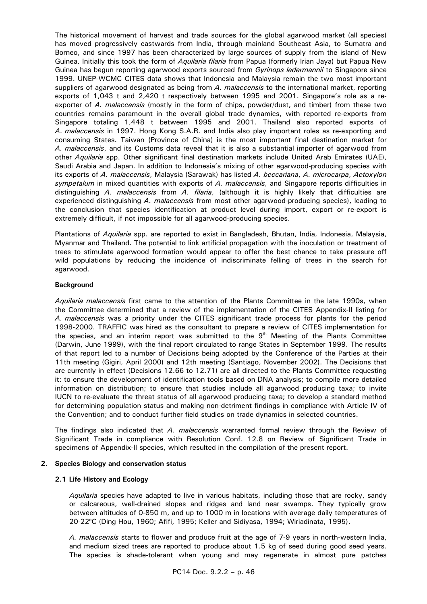The historical movement of harvest and trade sources for the global agarwood market (all species) has moved progressively eastwards from India, through mainland Southeast Asia, to Sumatra and Borneo, and since 1997 has been characterized by large sources of supply from the island of New Guinea. Initially this took the form of *Aquilaria filaria* from Papua (formerly Irian Jaya) but Papua New Guinea has begun reporting agarwood exports sourced from *Gyrinops ledermannii* to Singapore since 1999. UNEP-WCMC CITES data shows that Indonesia and Malaysia remain the two most important suppliers of agarwood designated as being from *A. malaccensis* to the international market, reporting exports of 1,043 t and 2,420 t respectively between 1995 and 2001. Singapore's role as a reexporter of *A. malaccensis* (mostly in the form of chips, powder/dust, and timber) from these two countries remains paramount in the overall global trade dynamics, with reported re-exports from Singapore totaling 1,448 t between 1995 and 2001. Thailand also reported exports of *A. malaccensis* in 1997. Hong Kong S.A.R. and India also play important roles as re-exporting and consuming States. Taiwan (Province of China) is the most important final destination market for *A. malaccensis*, and its Customs data reveal that it is also a substantial importer of agarwood from other *Aquilaria* spp. Other significant final destination markets include United Arab Emirates (UAE), Saudi Arabia and Japan. In addition to Indonesia's mixing of other agarwood-producing species with its exports of *A. malaccensis*, Malaysia (Sarawak) has listed *A. beccariana*, *A. microcarpa*, *Aetoxylon sympetalum* in mixed quantities with exports of *A. malaccensis*, and Singapore reports difficulties in distinguishing *A. malaccensis* from *A. filaria*, (although it is highly likely that difficulties are experienced distinguishing *A. malaccensis* from most other agarwood-producing species), leading to the conclusion that species identification at product level during import, export or re-export is extremely difficult, if not impossible for all agarwood-producing species.

 Plantations of *Aquilaria* spp. are reported to exist in Bangladesh, Bhutan, India, Indonesia, Malaysia, Myanmar and Thailand. The potential to link artificial propagation with the inoculation or treatment of trees to stimulate agarwood formation would appear to offer the best chance to take pressure off wild populations by reducing the incidence of indiscriminate felling of trees in the search for agarwood.

#### **Background**

 *Aquilaria malaccensis* first came to the attention of the Plants Committee in the late 1990s, when the Committee determined that a review of the implementation of the CITES Appendix-II listing for *A. malaccensis* was a priority under the CITES significant trade process for plants for the period 1998-2000. TRAFFIC was hired as the consultant to prepare a review of CITES implementation for the species, and an interim report was submitted to the  $9<sup>th</sup>$  Meeting of the Plants Committee (Darwin, June 1999), with the final report circulated to range States in September 1999. The results of that report led to a number of Decisions being adopted by the Conference of the Parties at their 11th meeting (Gigiri, April 2000) and 12th meeting (Santiago, November 2002). The Decisions that are currently in effect (Decisions 12.66 to 12.71) are all directed to the Plants Committee requesting it: to ensure the development of identification tools based on DNA analysis; to compile more detailed information on distribution; to ensure that studies include all agarwood producing taxa; to invite IUCN to re-evaluate the threat status of all agarwood producing taxa; to develop a standard method for determining population status and making non-detriment findings in compliance with Article IV of the Convention; and to conduct further field studies on trade dynamics in selected countries.

 The findings also indicated that *A. malaccensis* warranted formal review through the Review of Significant Trade in compliance with Resolution Conf. 12.8 on Review of Significant Trade in specimens of Appendix-II species, which resulted in the compilation of the present report.

#### **2. Species Biology and conservation status**

#### **2.1 Life History and Ecology**

 *Aquilaria* species have adapted to live in various habitats, including those that are rocky, sandy or calcareous, well-drained slopes and ridges and land near swamps. They typically grow between altitudes of 0-850 m, and up to 1000 m in locations with average daily temperatures of 20-22°C (Ding Hou, 1960; Afifi, 1995; Keller and Sidiyasa, 1994; Wiriadinata, 1995).

 *A. malaccensis* starts to flower and produce fruit at the age of 7-9 years in north-western India, and medium sized trees are reported to produce about 1.5 kg of seed during good seed years. The species is shade-tolerant when young and may regenerate in almost pure patches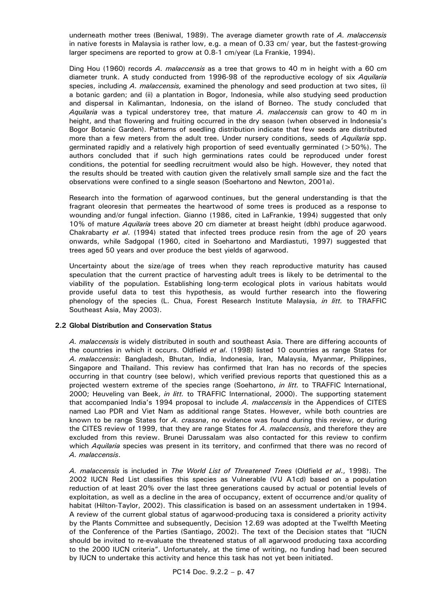underneath mother trees (Beniwal, 1989). The average diameter growth rate of *A. malaccensis* in native forests in Malaysia is rather low, e.g. a mean of 0.33 cm/ year, but the fastest-growing larger specimens are reported to grow at 0.8-1 cm/year (La Frankie, 1994).

 Ding Hou (1960) records *A. malaccensis* as a tree that grows to 40 m in height with a 60 cm diameter trunk. A study conducted from 1996-98 of the reproductive ecology of six *Aquilaria*  species, including *A. malaccensis,* examined the phenology and seed production at two sites, (i) a botanic garden; and (ii) a plantation in Bogor, Indonesia, while also studying seed production and dispersal in Kalimantan, Indonesia, on the island of Borneo. The study concluded that *Aquilaria* was a typical understorey tree, that mature *A. malaccensis* can grow to 40 m in height, and that flowering and fruiting occurred in the dry season (when observed in Indonesia's Bogor Botanic Garden). Patterns of seedling distribution indicate that few seeds are distributed more than a few meters from the adult tree. Under nursery conditions, seeds of *Aquilaria* spp. germinated rapidly and a relatively high proportion of seed eventually germinated (>50%). The authors concluded that if such high germinations rates could be reproduced under forest conditions, the potential for seedling recruitment would also be high. However, they noted that the results should be treated with caution given the relatively small sample size and the fact the observations were confined to a single season (Soehartono and Newton, 2001a).

 Research into the formation of agarwood continues, but the general understanding is that the fragrant oleoresin that permeates the heartwood of some trees is produced as a response to wounding and/or fungal infection. Gianno (1986, cited in LaFrankie, 1994) suggested that only 10% of mature *Aquilaria* trees above 20 cm diameter at breast height (dbh) produce agarwood. Chakrabarty *et al*. (1994) stated that infected trees produce resin from the age of 20 years onwards, while Sadgopal (1960, cited in Soehartono and Mardiastuti, 1997) suggested that trees aged 50 years and over produce the best yields of agarwood.

 Uncertainty about the size/age of trees when they reach reproductive maturity has caused speculation that the current practice of harvesting adult trees is likely to be detrimental to the viability of the population. Establishing long-term ecological plots in various habitats would provide useful data to test this hypothesis, as would further research into the flowering phenology of the species (L. Chua, Forest Research Institute Malaysia, *in litt.* to TRAFFIC Southeast Asia, May 2003).

#### **2.2 Global Distribution and Conservation Status**

 *A. malaccensis* is widely distributed in south and southeast Asia. There are differing accounts of the countries in which it occurs. Oldfield *et al*. (1998) listed 10 countries as range States for *A. malaccensis*: Bangladesh, Bhutan, India, Indonesia, Iran, Malaysia, Myanmar, Philippines, Singapore and Thailand. This review has confirmed that Iran has no records of the species occurring in that country (see below), which verified previous reports that questioned this as a projected western extreme of the species range (Soehartono, *in litt.* to TRAFFIC International, 2000; Heuveling van Beek, *in litt.* to TRAFFIC International, 2000). The supporting statement that accompanied India's 1994 proposal to include *A. malaccensis* in the Appendices of CITES named Lao PDR and Viet Nam as additional range States. However, while both countries are known to be range States for *A. crassna*, no evidence was found during this review, or during the CITES review of 1999, that they are range States for *A. malaccensis*, and therefore they are excluded from this review. Brunei Darussalam was also contacted for this review to confirm which *Aquilaria* species was present in its territory, and confirmed that there was no record of *A. malaccensis*.

 *A. malaccensis* is included in *The World List of Threatened Trees* (Oldfield *et al*., 1998). The 2002 IUCN Red List classifies this species as Vulnerable (VU A1cd) based on a population reduction of at least 20% over the last three generations caused by actual or potential levels of exploitation, as well as a decline in the area of occupancy, extent of occurrence and/or quality of habitat (Hilton-Taylor, 2002). This classification is based on an assessment undertaken in 1994. A review of the current global status of agarwood-producing taxa is considered a priority activity by the Plants Committee and subsequently, Decision 12.69 was adopted at the Twelfth Meeting of the Conference of the Parties (Santiago, 2002). The text of the Decision states that "IUCN should be invited to re-evaluate the threatened status of all agarwood producing taxa according to the 2000 IUCN criteria". Unfortunately, at the time of writing, no funding had been secured by IUCN to undertake this activity and hence this task has not yet been initiated.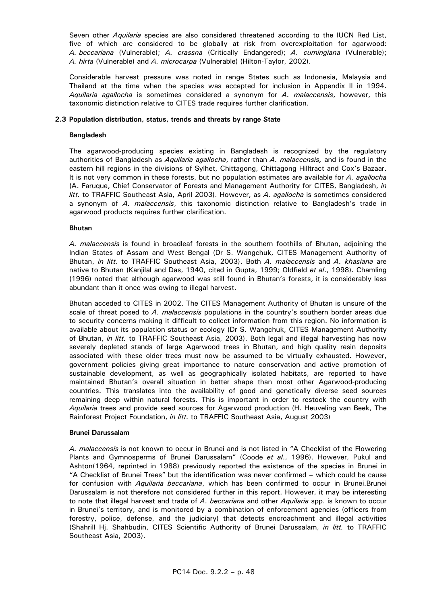Seven other *Aquilaria* species are also considered threatened according to the IUCN Red List, five of which are considered to be globally at risk from overexploitation for agarwood: *A. beccariana* (Vulnerable); *A. crassna* (Critically Endangered); *A. cumingiana* (Vulnerable); *A. hirta* (Vulnerable) and *A. microcarpa* (Vulnerable) (Hilton-Taylor, 2002).

 Considerable harvest pressure was noted in range States such as Indonesia, Malaysia and Thailand at the time when the species was accepted for inclusion in Appendix II in 1994. *Aquilaria agallocha* is sometimes considered a synonym for *A. malaccensis*, however, this taxonomic distinction relative to CITES trade requires further clarification.

#### **2.3 Population distribution, status, trends and threats by range State**

# **Bangladesh**

 The agarwood-producing species existing in Bangladesh is recognized by the regulatory authorities of Bangladesh as *Aquilaria agallocha*, rather than *A. malaccensis,* and is found in the eastern hill regions in the divisions of Sylhet, Chittagong, Chittagong Hilltract and Cox's Bazaar. It is not very common in these forests, but no population estimates are available for *A. agallocha* (A. Faruque, Chief Conservator of Forests and Management Authority for CITES, Bangladesh, *in litt.* to TRAFFIC Southeast Asia, April 2003). However, as *A. agallocha* is sometimes considered a synonym of *A. malaccensis*, this taxonomic distinction relative to Bangladesh's trade in agarwood products requires further clarification.

# **Bhutan**

 *A. malaccensis* is found in broadleaf forests in the southern foothills of Bhutan, adjoining the Indian States of Assam and West Bengal (Dr S. Wangchuk, CITES Management Authority of Bhutan, *in litt.* to TRAFFIC Southeast Asia, 2003). Both *A. malaccensis* and *A. khasiana* are native to Bhutan (Kanjilal and Das, 1940, cited in Gupta, 1999; Oldfield *et al*., 1998). Chamling (1996) noted that although agarwood was still found in Bhutan's forests, it is considerably less abundant than it once was owing to illegal harvest.

 Bhutan acceded to CITES in 2002. The CITES Management Authority of Bhutan is unsure of the scale of threat posed to *A. malaccensis* populations in the country's southern border areas due to security concerns making it difficult to collect information from this region. No information is available about its population status or ecology (Dr S. Wangchuk, CITES Management Authority of Bhutan, *in litt.* to TRAFFIC Southeast Asia, 2003). Both legal and illegal harvesting has now severely depleted stands of large Agarwood trees in Bhutan, and high quality resin deposits associated with these older trees must now be assumed to be virtually exhausted. However, government policies giving great importance to nature conservation and active promotion of sustainable development, as well as geographically isolated habitats, are reported to have maintained Bhutan's overall situation in better shape than most other Agarwood-producing countries. This translates into the availability of good and genetically diverse seed sources remaining deep within natural forests. This is important in order to restock the country with *Aquilaria* trees and provide seed sources for Agarwood production (H. Heuveling van Beek, The Rainforest Project Foundation, *in litt.* to TRAFFIC Southeast Asia, August 2003)

#### **Brunei Darussalam**

 *A. malaccensis* is not known to occur in Brunei and is not listed in "A Checklist of the Flowering Plants and Gymnosperms of Brunei Darussalam" (Coode *et al*., 1996). However, Pukul and Ashton(1964, reprinted in 1988) previously reported the existence of the species in Brunei in "A Checklist of Brunei Trees" but the identification was never confirmed – which could be cause for confusion with *Aquilaria beccariana*, which has been confirmed to occur in Brunei.Brunei Darussalam is not therefore not considered further in this report. However, it may be interesting to note that illegal harvest and trade of *A. beccariana* and other *Aquilaria* spp. is known to occur in Brunei's territory, and is monitored by a combination of enforcement agencies (officers from forestry, police, defense, and the judiciary) that detects encroachment and illegal activities (Shahrill Hj. Shahbudin, CITES Scientific Authority of Brunei Darussalam, *in litt.* to TRAFFIC Southeast Asia, 2003).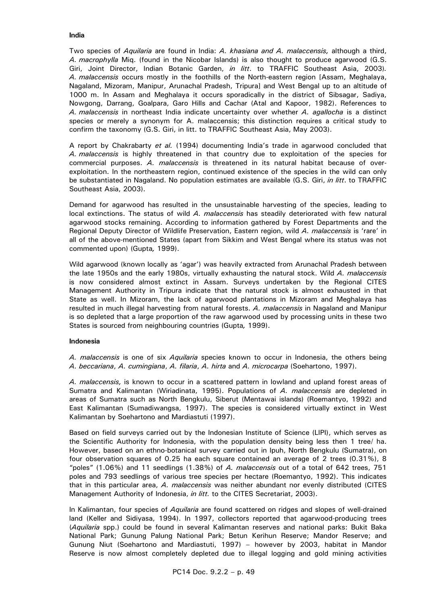Two species of *Aquilaria* are found in India: *A. khasiana and A. malaccensis,* although a third, *A. macrophylla* Miq. (found in the Nicobar Islands) is also thought to produce agarwood (G.S. Giri, Joint Director, Indian Botanic Garden, *in litt*. to TRAFFIC Southeast Asia, 2003)*. A. malaccensis* occurs mostly in the foothills of the North-eastern region [Assam, Meghalaya, Nagaland, Mizoram, Manipur, Arunachal Pradesh, Tripura] and West Bengal up to an altitude of 1000 m. In Assam and Meghalaya it occurs sporadically in the district of Sibsagar, Sadiya, Nowgong, Darrang, Goalpara, Garo Hills and Cachar (Atal and Kapoor, 1982). References to *A. malaccensis* in northeast India indicate uncertainty over whether *A. agallocha* is a distinct species or merely a synonym for A. malaccensis; this distinction requires a critical study to confirm the taxonomy (G.S. Giri, in litt. to TRAFFIC Southeast Asia, May 2003).

 A report by Chakrabarty *et al.* (1994) documenting India's trade in agarwood concluded that *A. malaccensis* is highly threatened in that country due to exploitation of the species for commercial purposes. *A. malaccensis* is threatened in its natural habitat because of overexploitation. In the northeastern region, continued existence of the species in the wild can only be substantiated in Nagaland. No population estimates are available (G.S. Giri, *in litt*. to TRAFFIC Southeast Asia, 2003).

 Demand for agarwood has resulted in the unsustainable harvesting of the species, leading to local extinctions. The status of wild *A. malaccensis* has steadily deteriorated with few natural agarwood stocks remaining. According to information gathered by Forest Departments and the Regional Deputy Director of Wildlife Preservation, Eastern region, wild *A. malaccensis* is 'rare' in all of the above-mentioned States (apart from Sikkim and West Bengal where its status was not commented upon) (Gupta*,* 1999).

 Wild agarwood (known locally as 'agar') was heavily extracted from Arunachal Pradesh between the late 1950s and the early 1980s, virtually exhausting the natural stock. Wild *A. malaccensis*  is now considered almost extinct in Assam. Surveys undertaken by the Regional CITES Management Authority in Tripura indicate that the natural stock is almost exhausted in that State as well. In Mizoram, the lack of agarwood plantations in Mizoram and Meghalaya has resulted in much illegal harvesting from natural forests. *A. malaccensis* in Nagaland and Manipur is so depleted that a large proportion of the raw agarwood used by processing units in these two States is sourced from neighbouring countries (Gupta*,* 1999).

# **Indonesia**

 *A. malaccensis* is one of six *Aquilaria* species known to occur in Indonesia, the others being *A. beccariana*, *A. cumingiana*, *A. filaria*, *A. hirta* and *A. microcarpa* (Soehartono, 1997).

 *A. malaccensis,* is known to occur in a scattered pattern in lowland and upland forest areas of Sumatra and Kalimantan (Wiriadinata, 1995). Populations of *A. malaccensis* are depleted in areas of Sumatra such as North Bengkulu, Siberut (Mentawai islands) (Roemantyo, 1992) and East Kalimantan (Sumadiwangsa, 1997). The species is considered virtually extinct in West Kalimantan by Soehartono and Mardiastuti (1997).

 Based on field surveys carried out by the Indonesian Institute of Science (LIPI), which serves as the Scientific Authority for Indonesia, with the population density being less then 1 tree/ ha. However, based on an ethno-botanical survey carried out in Ipuh, North Bengkulu (Sumatra), on four observation squares of 0.25 ha each square contained an average of 2 trees (0.31%), 8 "poles" (1.06%) and 11 seedlings (1.38%) of *A. malaccensis* out of a total of 642 trees, 751 poles and 793 seedlings of various tree species per hectare (Roemantyo, 1992). This indicates that in this particular area, *A. malaccensis* was neither abundant nor evenly distributed (CITES Management Authority of Indonesia, *in litt.* to the CITES Secretariat, 2003).

In Kalimantan, four species of *Aquilaria* are found scattered on ridges and slopes of well-drained land (Keller and Sidiyasa, 1994). In 1997, collectors reported that agarwood-producing trees (*Aquilaria* spp.) could be found in several Kalimantan reserves and national parks: Bukit Baka National Park; Gunung Palung National Park; Betun Kerihun Reserve; Mandor Reserve; and Gunung Niut (Soehartono and Mardiastuti, 1997) – however by 2003, habitat in Mandor Reserve is now almost completely depleted due to illegal logging and gold mining activities

# **India**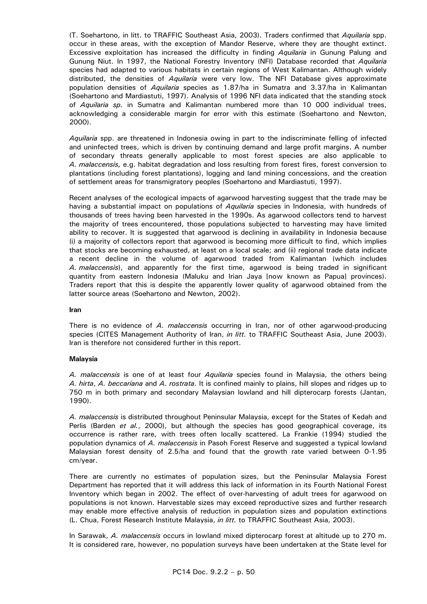(T. Soehartono, in litt. to TRAFFIC Southeast Asia, 2003). Traders confirmed that *Aquilaria* spp. occur in these areas, with the exception of Mandor Reserve, where they are thought extinct. Excessive exploitation has increased the difficulty in finding *Aquilaria* in Gunung Palung and Gunung Niut. In 1997, the National Forestry Inventory (NFI) Database recorded that *Aquilaria*  species had adapted to various habitats in certain regions of West Kalimantan. Although widely distributed, the densities of *Aquilaria* were very low. The NFI Database gives approximate population densities of *Aquilaria* species as 1.87/ha in Sumatra and 3.37/ha in Kalimantan (Soehartono and Mardiastuti, 1997). Analysis of 1996 NFI data indicated that the standing stock of *Aquilaria sp.* in Sumatra and Kalimantan numbered more than 10 000 individual trees, acknowledging a considerable margin for error with this estimate (Soehartono and Newton, 2000).

 *Aquilaria* spp. are threatened in Indonesia owing in part to the indiscriminate felling of infected and uninfected trees, which is driven by continuing demand and large profit margins. A number of secondary threats generally applicable to most forest species are also applicable to *A. malaccensis,* e.g. habitat degradation and loss resulting from forest fires, forest conversion to plantations (including forest plantations), logging and land mining concessions, and the creation of settlement areas for transmigratory peoples (Soehartono and Mardiastuti, 1997).

 Recent analyses of the ecological impacts of agarwood harvesting suggest that the trade may be having a substantial impact on populations of *Aquilaria* species in Indonesia, with hundreds of thousands of trees having been harvested in the 1990s. As agarwood collectors tend to harvest the majority of trees encountered, those populations subjected to harvesting may have limited ability to recover. It is suggested that agarwood is declining in availability in Indonesia because (i) a majority of collectors report that agarwood is becoming more difficult to find, which implies that stocks are becoming exhausted, at least on a local scale; and (ii) regional trade data indicate a recent decline in the volume of agarwood traded from Kalimantan (which includes *A. malaccensis*), and apparently for the first time, agarwood is being traded in significant quantity from eastern Indonesia (Maluku and Irian Jaya [now known as Papua] provinces). Traders report that this is despite the apparently lower quality of agarwood obtained from the latter source areas (Soehartono and Newton, 2002).

#### **Iran**

 There is no evidence of *A. malaccensis* occurring in Iran, nor of other agarwood-producing species (CITES Management Authority of Iran, *in litt.* to TRAFFIC Southeast Asia, June 2003). Iran is therefore not considered further in this report.

#### **Malaysia**

 *A. malaccensis* is one of at least four *Aquilaria* species found in Malaysia, the others being *A. hirta*, *A. beccariana* and *A. rostrata*. It is confined mainly to plains, hill slopes and ridges up to 750 m in both primary and secondary Malaysian lowland and hill dipterocarp forests (Jantan, 1990).

 *A. malaccensis* is distributed throughout Peninsular Malaysia, except for the States of Kedah and Perlis (Barden *et al.*, 2000), but although the species has good geographical coverage, its occurrence is rather rare, with trees often locally scattered. La Frankie (1994) studied the population dynamics of *A. malaccensis* in Pasoh Forest Reserve and suggested a typical lowland Malaysian forest density of 2.5/ha and found that the growth rate varied between 0-1.95 cm/year.

 There are currently no estimates of population sizes, but the Peninsular Malaysia Forest Department has reported that it will address this lack of information in its Fourth National Forest Inventory which began in 2002. The effect of over-harvesting of adult trees for agarwood on populations is not known. Harvestable sizes may exceed reproductive sizes and further research may enable more effective analysis of reduction in population sizes and population extinctions (L. Chua, Forest Research Institute Malaysia, *in litt.* to TRAFFIC Southeast Asia, 2003).

 In Sarawak, *A. malaccensis* occurs in lowland mixed dipterocarp forest at altitude up to 270 m. It is considered rare, however, no population surveys have been undertaken at the State level for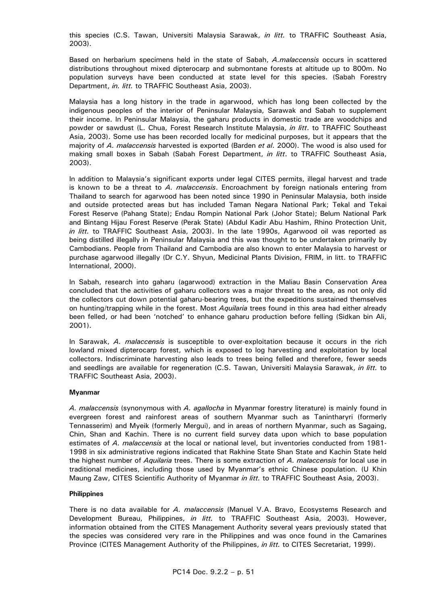this species (C.S. Tawan, Universiti Malaysia Sarawak, *in litt.* to TRAFFIC Southeast Asia, 2003).

 Based on herbarium specimens held in the state of Sabah, *A.malaccensis* occurs in scattered distributions throughout mixed dipterocarp and submontane forests at altitude up to 800m. No population surveys have been conducted at state level for this species. (Sabah Forestry Department, *in. litt.* to TRAFFIC Southeast Asia, 2003).

 Malaysia has a long history in the trade in agarwood, which has long been collected by the indigenous peoples of the interior of Peninsular Malaysia, Sarawak and Sabah to supplement their income. In Peninsular Malaysia, the gaharu products in domestic trade are woodchips and powder or sawdust (L. Chua, Forest Research Institute Malaysia, *in litt*. to TRAFFIC Southeast Asia, 2003). Some use has been recorded locally for medicinal purposes, but it appears that the majority of *A. malaccensis* harvested is exported (Barden *et al*. 2000). The wood is also used for making small boxes in Sabah (Sabah Forest Department, *in litt*. to TRAFFIC Southeast Asia, 2003).

 In addition to Malaysia's significant exports under legal CITES permits, illegal harvest and trade is known to be a threat to *A. malaccensis*. Encroachment by foreign nationals entering from Thailand to search for agarwood has been noted since 1990 in Peninsular Malaysia, both inside and outside protected areas but has included Taman Negara National Park; Tekal and Tekai Forest Reserve (Pahang State); Endau Rompin National Park (Johor State); Belum National Park and Bintang Hijau Forest Reserve (Perak State) (Abdul Kadir Abu Hashim, Rhino Protection Unit, *in litt.* to TRAFFIC Southeast Asia, 2003). In the late 1990s, Agarwood oil was reported as being distilled illegally in Peninsular Malaysia and this was thought to be undertaken primarily by Cambodians. People from Thailand and Cambodia are also known to enter Malaysia to harvest or purchase agarwood illegally (Dr C.Y. Shyun, Medicinal Plants Division, FRIM, in litt. to TRAFFIC International, 2000).

 In Sabah, research into gaharu (agarwood) extraction in the Maliau Basin Conservation Area concluded that the activities of gaharu collectors was a major threat to the area, as not only did the collectors cut down potential gaharu-bearing trees, but the expeditions sustained themselves on hunting/trapping while in the forest. Most *Aquilaria* trees found in this area had either already been felled, or had been 'notched' to enhance gaharu production before felling (Sidkan bin Ali, 2001).

 In Sarawak, *A. malaccensis* is susceptible to over-exploitation because it occurs in the rich lowland mixed dipterocarp forest, which is exposed to log harvesting and exploitation by local collectors. Indiscriminate harvesting also leads to trees being felled and therefore, fewer seeds and seedlings are available for regeneration (C.S. Tawan, Universiti Malaysia Sarawak, *in litt.* to TRAFFIC Southeast Asia, 2003).

#### **Myanmar**

 *A. malaccensis* (synonymous with *A. agallocha* in Myanmar forestry literature) is mainly found in evergreen forest and rainforest areas of southern Myanmar such as Tanintharyri (formerly Tennasserim) and Myeik (formerly Mergui), and in areas of northern Myanmar, such as Sagaing, Chin, Shan and Kachin. There is no current field survey data upon which to base population estimates of *A. malaccensis* at the local or national level, but inventories conducted from 1981- 1998 in six administrative regions indicated that Rakhine State Shan State and Kachin State held the highest number of *Aquilaria* trees. There is some extraction of *A. malaccensis* for local use in traditional medicines, including those used by Myanmar's ethnic Chinese population. (U Khin Maung Zaw, CITES Scientific Authority of Myanmar *in litt.* to TRAFFIC Southeast Asia, 2003).

#### **Philippines**

 There is no data available for *A. malaccensis* (Manuel V.A. Bravo, Ecosystems Research and Development Bureau, Philippines, *in litt.* to TRAFFIC Southeast Asia, 2003)*.* However, information obtained from the CITES Management Authority several years previously stated that the species was considered very rare in the Philippines and was once found in the Camarines Province (CITES Management Authority of the Philippines, *in litt.* to CITES Secretariat, 1999).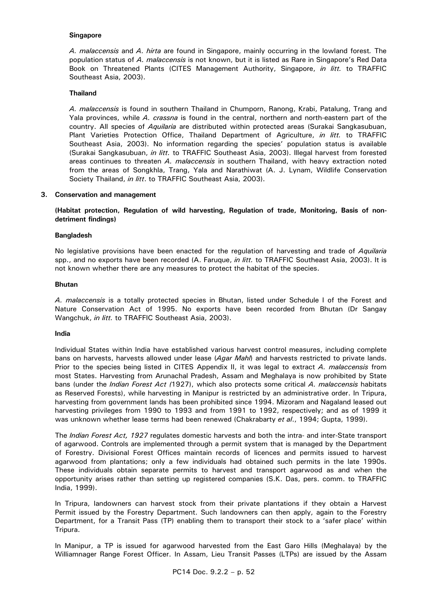#### **Singapore**

 *A. malaccensis* and *A. hirta* are found in Singapore, mainly occurring in the lowland forest*.* The population status of *A. malaccensis* is not known, but it is listed as Rare in Singapore's Red Data Book on Threatened Plants (CITES Management Authority, Singapore, *in litt.* to TRAFFIC Southeast Asia, 2003).

#### **Thailand**

 *A. malaccensis* is found in southern Thailand in Chumporn, Ranong, Krabi, Patalung, Trang and Yala provinces, while *A. crassna* is found in the central, northern and north-eastern part of the country. All species of *Aquilaria* are distributed within protected areas (Surakai Sangkasubuan, Plant Varieties Protection Office, Thailand Department of Agriculture, *in litt.* to TRAFFIC Southeast Asia, 2003). No information regarding the species' population status is available (Surakai Sangkasubuan, *in litt.* to TRAFFIC Southeast Asia, 2003). Illegal harvest from forested areas continues to threaten *A. malaccensis* in southern Thailand, with heavy extraction noted from the areas of Songkhla, Trang, Yala and Narathiwat (A. J. Lynam, Wildlife Conservation Society Thailand, *in litt*. to TRAFFIC Southeast Asia, 2003).

#### **3. Conservation and management**

 **(Habitat protection, Regulation of wild harvesting, Regulation of trade, Monitoring, Basis of nondetriment findings)** 

#### **Bangladesh**

 No legislative provisions have been enacted for the regulation of harvesting and trade of *Aquilaria* spp., and no exports have been recorded (A. Faruque, *in litt.* to TRAFFIC Southeast Asia, 2003). It is not known whether there are any measures to protect the habitat of the species.

#### **Bhutan**

 *A. malaccensis* is a totally protected species in Bhutan, listed under Schedule I of the Forest and Nature Conservation Act of 1995. No exports have been recorded from Bhutan (Dr Sangay Wangchuk, *in litt.* to TRAFFIC Southeast Asia, 2003).

#### **India**

 Individual States within India have established various harvest control measures, including complete bans on harvests, harvests allowed under lease (*Agar Mahl*) and harvests restricted to private lands. Prior to the species being listed in CITES Appendix II, it was legal to extract *A. malaccensis* from most States. Harvesting from Arunachal Pradesh, Assam and Meghalaya is now prohibited by State bans (under the *Indian Forest Act (*1927), which also protects some critical *A. malaccensis* habitats as Reserved Forests), while harvesting in Manipur is restricted by an administrative order. In Tripura, harvesting from government lands has been prohibited since 1994. Mizoram and Nagaland leased out harvesting privileges from 1990 to 1993 and from 1991 to 1992, respectively; and as of 1999 it was unknown whether lease terms had been renewed (Chakrabarty *et al*., 1994; Gupta, 1999).

 The *Indian Forest Act, 1927* regulates domestic harvests and both the intra- and inter-State transport of agarwood. Controls are implemented through a permit system that is managed by the Department of Forestry. Divisional Forest Offices maintain records of licences and permits issued to harvest agarwood from plantations; only a few individuals had obtained such permits in the late 1990s. These individuals obtain separate permits to harvest and transport agarwood as and when the opportunity arises rather than setting up registered companies (S.K. Das, pers. comm. to TRAFFIC India, 1999).

 In Tripura, landowners can harvest stock from their private plantations if they obtain a Harvest Permit issued by the Forestry Department. Such landowners can then apply, again to the Forestry Department, for a Transit Pass (TP) enabling them to transport their stock to a 'safer place' within Tripura.

 In Manipur, a TP is issued for agarwood harvested from the East Garo Hills (Meghalaya) by the Williamnager Range Forest Officer. In Assam, Lieu Transit Passes (LTPs) are issued by the Assam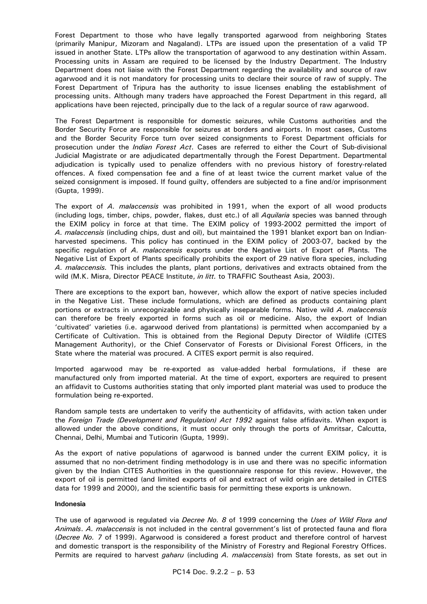Forest Department to those who have legally transported agarwood from neighboring States (primarily Manipur, Mizoram and Nagaland). LTPs are issued upon the presentation of a valid TP issued in another State. LTPs allow the transportation of agarwood to any destination within Assam. Processing units in Assam are required to be licensed by the Industry Department. The Industry Department does not liaise with the Forest Department regarding the availability and source of raw agarwood and it is not mandatory for processing units to declare their source of raw of supply. The Forest Department of Tripura has the authority to issue licenses enabling the establishment of processing units. Although many traders have approached the Forest Department in this regard, all applications have been rejected, principally due to the lack of a regular source of raw agarwood.

 The Forest Department is responsible for domestic seizures, while Customs authorities and the Border Security Force are responsible for seizures at borders and airports. In most cases, Customs and the Border Security Force turn over seized consignments to Forest Department officials for prosecution under the *Indian Forest Act*. Cases are referred to either the Court of Sub-divisional Judicial Magistrate or are adjudicated departmentally through the Forest Department. Departmental adjudication is typically used to penalize offenders with no previous history of forestry-related offences. A fixed compensation fee and a fine of at least twice the current market value of the seized consignment is imposed. If found guilty, offenders are subjected to a fine and/or imprisonment (Gupta, 1999).

 The export of *A. malaccensis* was prohibited in 1991, when the export of all wood products (including logs, timber, chips, powder, flakes, dust etc.) of all *Aquilaria* species was banned through the EXIM policy in force at that time. The EXIM policy of 1993-2002 permitted the import of *A. malaccensis* (including chips, dust and oil), but maintained the 1991 blanket export ban on Indianharvested specimens. This policy has continued in the EXIM policy of 2003-07, backed by the specific regulation of *A. malaccensis* exports under the Negative List of Export of Plants*.* The Negative List of Export of Plants specifically prohibits the export of 29 native flora species, including *A. malaccensis.* This includes the plants, plant portions, derivatives and extracts obtained from the wild (M.K. Misra, Director PEACE Institute, *in litt.* to TRAFFIC Southeast Asia, 2003).

 There are exceptions to the export ban, however, which allow the export of native species included in the Negative List. These include formulations, which are defined as products containing plant portions or extracts in unrecognizable and physically inseparable forms. Native wild *A. malaccensis*  can therefore be freely exported in forms such as oil or medicine. Also, the export of Indian 'cultivated' varieties (i.e. agarwood derived from plantations) is permitted when accompanied by a Certificate of Cultivation. This is obtained from the Regional Deputy Director of Wildlife (CITES Management Authority), or the Chief Conservator of Forests or Divisional Forest Officers, in the State where the material was procured. A CITES export permit is also required.

 Imported agarwood may be re-exported as value-added herbal formulations, if these are manufactured only from imported material. At the time of export, exporters are required to present an affidavit to Customs authorities stating that only imported plant material was used to produce the formulation being re-exported.

 Random sample tests are undertaken to verify the authenticity of affidavits, with action taken under the *Foreign Trade (Development and Regulation) Act 1992* against false affidavits. When export is allowed under the above conditions, it must occur only through the ports of Amritsar, Calcutta, Chennai, Delhi, Mumbai and Tuticorin (Gupta, 1999).

 As the export of native populations of agarwood is banned under the current EXIM policy, it is assumed that no non-detriment finding methodology is in use and there was no specific information given by the Indian CITES Authorities in the questionnaire response for this review. However, the export of oil is permitted (and limited exports of oil and extract of wild origin are detailed in CITES data for 1999 and 2000), and the scientific basis for permitting these exports is unknown.

#### **Indonesia**

 The use of agarwood is regulated via *Decree No. 8* of 1999 concerning the *Uses of Wild Flora and Animals*. *A. malaccensis* is not included in the central government's list of protected fauna and flora (*Decree No. 7* of 1999). Agarwood is considered a forest product and therefore control of harvest and domestic transport is the responsibility of the Ministry of Forestry and Regional Forestry Offices. Permits are required to harvest *gaharu* (including *A. malaccensis*) from State forests, as set out in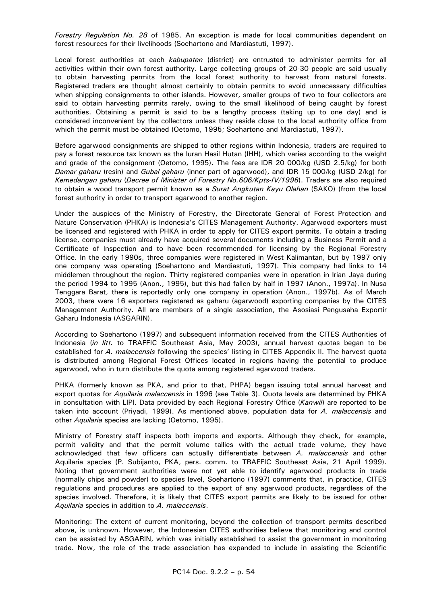*Forestry Regulation No. 28* of 1985. An exception is made for local communities dependent on forest resources for their livelihoods (Soehartono and Mardiastuti, 1997).

 Local forest authorities at each *kabupaten* (district) are entrusted to administer permits for all activities within their own forest authority. Large collecting groups of 20-30 people are said usually to obtain harvesting permits from the local forest authority to harvest from natural forests. Registered traders are thought almost certainly to obtain permits to avoid unnecessary difficulties when shipping consignments to other islands. However, smaller groups of two to four collectors are said to obtain harvesting permits rarely, owing to the small likelihood of being caught by forest authorities. Obtaining a permit is said to be a lengthy process (taking up to one day) and is considered inconvenient by the collectors unless they reside close to the local authority office from which the permit must be obtained (Oetomo, 1995; Soehartono and Mardiastuti, 1997).

 Before agarwood consignments are shipped to other regions within Indonesia, traders are required to pay a forest resource tax known as the Iuran Hasil Hutan (IHH), which varies according to the weight and grade of the consignment (Oetomo, 1995). The fees are IDR 20 000/kg (USD 2.5/kg) for both *Damar gaharu* (resin) and *Gubal gaharu* (inner part of agarwood), and IDR 15 000/kg (USD 2/kg) for *Kemedangan gaharu* (*Decree of Minister of Forestry No.606/Kpts-IV/1996*). Traders are also required to obtain a wood transport permit known as a *Surat Angkutan Kayu Olahan* (SAKO) (from the local forest authority in order to transport agarwood to another region.

 Under the auspices of the Ministry of Forestry, the Directorate General of Forest Protection and Nature Conservation (PHKA) is Indonesia's CITES Management Authority. Agarwood exporters must be licensed and registered with PHKA in order to apply for CITES export permits. To obtain a trading license, companies must already have acquired several documents including a Business Permit and a Certificate of Inspection and to have been recommended for licensing by the Regional Forestry Office. In the early 1990s, three companies were registered in West Kalimantan, but by 1997 only one company was operating (Soehartono and Mardiastuti, 1997). This company had links to 14 middlemen throughout the region. Thirty registered companies were in operation in Irian Jaya during the period 1994 to 1995 (Anon., 1995), but this had fallen by half in 1997 (Anon., 1997a). In Nusa Tenggara Barat, there is reportedly only one company in operation (Anon., 1997b). As of March 2003, there were 16 exporters registered as gaharu (agarwood) exporting companies by the CITES Management Authority. All are members of a single association, the Asosiasi Pengusaha Exportir Gaharu Indonesia (ASGARIN).

 According to Soehartono (1997) and subsequent information received from the CITES Authorities of Indonesia (*in litt.* to TRAFFIC Southeast Asia, May 2003), annual harvest quotas began to be established for *A. malaccensis* following the species' listing in CITES Appendix II. The harvest quota is distributed among Regional Forest Offices located in regions having the potential to produce agarwood, who in turn distribute the quota among registered agarwood traders.

 PHKA (formerly known as PKA, and prior to that, PHPA) began issuing total annual harvest and export quotas for *Aquilaria malaccensis* in 1996 (see Table 3). Quota levels are determined by PHKA in consultation with LIPI. Data provided by each Regional Forestry Office (*Kanwil*) are reported to be taken into account (Priyadi, 1999). As mentioned above, population data for *A. malaccensis* and other *Aquilaria* species are lacking (Oetomo, 1995).

 Ministry of Forestry staff inspects both imports and exports. Although they check, for example, permit validity and that the permit volume tallies with the actual trade volume, they have acknowledged that few officers can actually differentiate between *A. malaccensis* and other Aquilaria species (P. Subijanto, PKA, pers. comm. to TRAFFIC Southeast Asia, 21 April 1999). Noting that government authorities were not yet able to identify agarwood products in trade (normally chips and powder) to species level, Soehartono (1997) comments that, in practice, CITES regulations and procedures are applied to the export of any agarwood products, regardless of the species involved. Therefore, it is likely that CITES export permits are likely to be issued for other *Aquilaria* species in addition to *A. malaccensis*.

 Monitoring: The extent of current monitoring, beyond the collection of transport permits described above, is unknown. However, the Indonesian CITES authorities believe that monitoring and control can be assisted by ASGARIN, which was initially established to assist the government in monitoring trade. Now, the role of the trade association has expanded to include in assisting the Scientific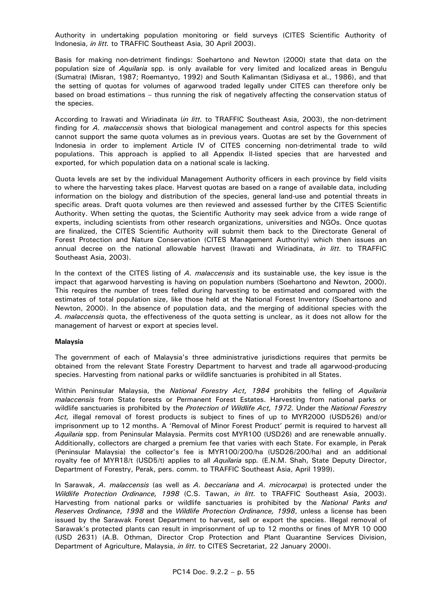Authority in undertaking population monitoring or field surveys (CITES Scientific Authority of Indonesia, *in litt.* to TRAFFIC Southeast Asia, 30 April 2003).

 Basis for making non-detriment findings: Soehartono and Newton (2000) state that data on the population size of *Aquilaria* spp*.* is only available for very limited and localized areas in Bengulu (Sumatra) (Misran, 1987; Roemantyo, 1992) and South Kalimantan (Sidiyasa et al., 1986), and that the setting of quotas for volumes of agarwood traded legally under CITES can therefore only be based on broad estimations – thus running the risk of negatively affecting the conservation status of the species.

 According to Irawati and Wiriadinata (*in litt.* to TRAFFIC Southeast Asia, 2003), the non-detriment finding for *A. malaccensis* shows that biological management and control aspects for this species cannot support the same quota volumes as in previous years. Quotas are set by the Government of Indonesia in order to implement Article IV of CITES concerning non-detrimental trade to wild populations. This approach is applied to all Appendix II-listed species that are harvested and exported, for which population data on a national scale is lacking.

 Quota levels are set by the individual Management Authority officers in each province by field visits to where the harvesting takes place. Harvest quotas are based on a range of available data, including information on the biology and distribution of the species, general land-use and potential threats in specific areas. Draft quota volumes are then reviewed and assessed further by the CITES Scientific Authority. When setting the quotas, the Scientific Authority may seek advice from a wide range of experts, including scientists from other research organizations, universities and NGOs. Once quotas are finalized, the CITES Scientific Authority will submit them back to the Directorate General of Forest Protection and Nature Conservation (CITES Management Authority) which then issues an annual decree on the national allowable harvest (Irawati and Wiriadinata, *in litt.* to TRAFFIC Southeast Asia, 2003).

 In the context of the CITES listing of *A. malaccensis* and its sustainable use, the key issue is the impact that agarwood harvesting is having on population numbers (Soehartono and Newton, 2000). This requires the number of trees felled during harvesting to be estimated and compared with the estimates of total population size, like those held at the National Forest Inventory (Soehartono and Newton, 2000). In the absence of population data, and the merging of additional species with the *A. malaccensis* quota, the effectiveness of the quota setting is unclear, as it does not allow for the management of harvest or export at species level.

#### **Malaysia**

 The government of each of Malaysia's three administrative jurisdictions requires that permits be obtained from the relevant State Forestry Department to harvest and trade all agarwood-producing species. Harvesting from national parks or wildlife sanctuaries is prohibited in all States.

 Within Peninsular Malaysia, the *National Forestry Act, 1984* prohibits the felling of *Aquilaria malaccensis* from State forests or Permanent Forest Estates. Harvesting from national parks or wildlife sanctuaries is prohibited by the *Protection of Wildlife Act, 1972.* Under the *National Forestry Act,* illegal removal of forest products is subject to fines of up to MYR2000 (USD526) and/or imprisonment up to 12 months. A 'Removal of Minor Forest Product' permit is required to harvest all *Aquilaria* spp. from Peninsular Malaysia. Permits cost MYR100 (USD26) and are renewable annually. Additionally, collectors are charged a premium fee that varies with each State. For example, in Perak (Peninsular Malaysia) the collector's fee is MYR100/200/ha (USD26/200/ha) and an additional royalty fee of MYR18/t (USD5/t) applies to all *Aquilaria* spp*.* (E.N.M. Shah, State Deputy Director, Department of Forestry, Perak, pers. comm. to TRAFFIC Southeast Asia, April 1999).

In Sarawak, *A. malaccensis* (as well as *A. beccariana* and *A. microcarpa*) is protected under the *Wildlife Protection Ordinance, 1998* (C.S. Tawan, *in litt.* to TRAFFIC Southeast Asia, 2003). Harvesting from national parks or wildlife sanctuaries is prohibited by the *National Parks and Reserves Ordinance, 1998* and the *Wildlife Protection Ordinance, 1998*, unless a license has been issued by the Sarawak Forest Department to harvest, sell or export the species. Illegal removal of Sarawak's protected plants can result in imprisonment of up to 12 months or fines of MYR 10 000 (USD 2631) (A.B. Othman, Director Crop Protection and Plant Quarantine Services Division, Department of Agriculture, Malaysia, *in litt.* to CITES Secretariat, 22 January 2000).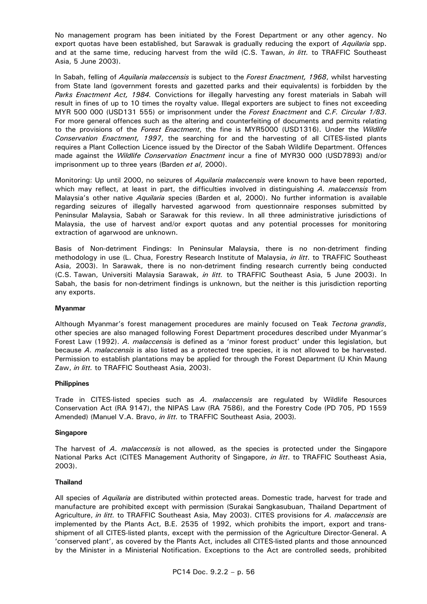No management program has been initiated by the Forest Department or any other agency. No export quotas have been established, but Sarawak is gradually reducing the export of *Aquilaria* spp. and at the same time, reducing harvest from the wild (C.S. Tawan, *in litt.* to TRAFFIC Southeast Asia, 5 June 2003).

 In Sabah, felling of *Aquilaria malaccensis* is subject to the *Forest Enactment, 1968*, whilst harvesting from State land (government forests and gazetted parks and their equivalents) is forbidden by the *Parks Enactment Act, 1984.* Convictions for illegally harvesting any forest materials in Sabah will result in fines of up to 10 times the royalty value. Illegal exporters are subject to fines not exceeding MYR 500 000 (USD131 555) or imprisonment under the *Forest Enactment* and *C.F. Circular 1/83*. For more general offences such as the altering and counterfeiting of documents and permits relating to the provisions of the *Forest Enactment*, the fine is MYR5000 (USD1316). Under the *Wildlife Conservation Enactment, 1997*, the searching for and the harvesting of all CITES-listed plants requires a Plant Collection Licence issued by the Director of the Sabah Wildlife Department. Offences made against the *Wildlife Conservation Enactment* incur a fine of MYR30 000 (USD7893) and/or imprisonment up to three years (Barden *et al*, 2000).

 Monitoring: Up until 2000, no seizures of *Aquilaria malaccensis* were known to have been reported, which may reflect, at least in part, the difficulties involved in distinguishing *A. malaccensis* from Malaysia's other native *Aquilaria* species (Barden et al, 2000). No further information is available regarding seizures of illegally harvested agarwood from questionnaire responses submitted by Peninsular Malaysia, Sabah or Sarawak for this review. In all three administrative jurisdictions of Malaysia, the use of harvest and/or export quotas and any potential processes for monitoring extraction of agarwood are unknown.

 Basis of Non-detriment Findings: In Peninsular Malaysia, there is no non-detriment finding methodology in use (L. Chua, Forestry Research Institute of Malaysia, *in litt*. to TRAFFIC Southeast Asia, 2003). In Sarawak, there is no non-detriment finding research currently being conducted (C.S. Tawan, Universiti Malaysia Sarawak, *in litt.* to TRAFFIC Southeast Asia, 5 June 2003). In Sabah, the basis for non-detriment findings is unknown, but the neither is this jurisdiction reporting any exports.

#### **Myanmar**

 Although Myanmar's forest management procedures are mainly focused on Teak *Tectona grandis*, other species are also managed following Forest Department procedures described under Myanmar's Forest Law (1992). *A. malaccensis* is defined as a 'minor forest product' under this legislation, but because *A. malaccensis* is also listed as a protected tree species, it is not allowed to be harvested. Permission to establish plantations may be applied for through the Forest Department (U Khin Maung Zaw, *in litt.* to TRAFFIC Southeast Asia, 2003).

#### **Philippines**

 Trade in CITES-listed species such as *A. malaccensis* are regulated by Wildlife Resources Conservation Act (RA 9147), the NIPAS Law (RA 7586), and the Forestry Code (PD 705, PD 1559 Amended) (Manuel V.A. Bravo, *in litt.* to TRAFFIC Southeast Asia, 2003)*.*

#### **Singapore**

 The harvest of *A. malaccensis* is not allowed, as the species is protected under the Singapore National Parks Act (CITES Management Authority of Singapore, *in litt*. to TRAFFIC Southeast Asia, 2003).

#### **Thailand**

 All species of *Aquilaria* are distributed within protected areas. Domestic trade, harvest for trade and manufacture are prohibited except with permission (Surakai Sangkasubuan, Thailand Department of Agriculture, *in litt.* to TRAFFIC Southeast Asia, May 2003). CITES provisions for *A. malaccensis* are implemented by the Plants Act, B.E. 2535 of 1992, which prohibits the import, export and transshipment of all CITES-listed plants, except with the permission of the Agriculture Director-General. A 'conserved plant', as covered by the Plants Act, includes all CITES-listed plants and those announced by the Minister in a Ministerial Notification. Exceptions to the Act are controlled seeds, prohibited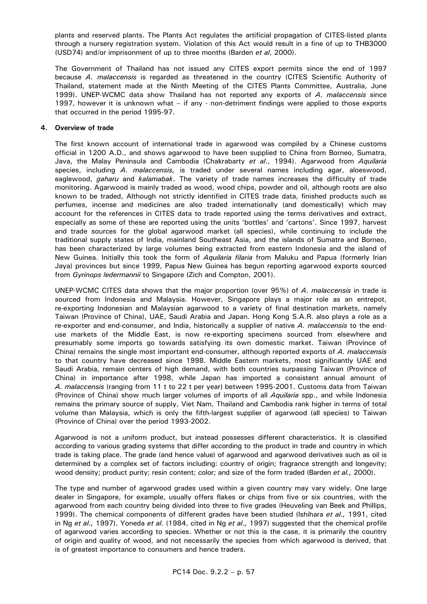plants and reserved plants. The Plants Act regulates the artificial propagation of CITES-listed plants through a nursery registration system. Violation of this Act would result in a fine of up to THB3000 (USD74) and/or imprisonment of up to three months (Barden *et al*, 2000).

 The Government of Thailand has not issued any CITES export permits since the end of 1997 because *A. malaccensis* is regarded as threatened in the country (CITES Scientific Authority of Thailand, statement made at the Ninth Meeting of the CITES Plants Committee, Australia, June 1999). UNEP-WCMC data show Thailand has not reported any exports of *A. malaccensis* since 1997, however it is unknown what – if any - non-detriment findings were applied to those exports that occurred in the period 1995-97.

# **4. Overview of trade**

 The first known account of international trade in agarwood was compiled by a Chinese customs official in 1200 A.D., and shows agarwood to have been supplied to China from Borneo, Sumatra, Java, the Malay Peninsula and Cambodia (Chakrabarty *et al*., 1994). Agarwood from *Aquilaria*  species, including *A. malaccensis,* is traded under several names including agar, aloeswood, eaglewood, *gaharu* and *kalamabak*. The variety of trade names increases the difficulty of trade monitoring. Agarwood is mainly traded as wood, wood chips, powder and oil, although roots are also known to be traded, Although not strictly identified in CITES trade data, finished products such as perfumes, incense and medicines are also traded internationally (and domestically) which may account for the references in CITES data to trade reported using the terms derivatives and extract, especially as some of these are reported using the units 'bottles' and 'cartons'. Since 1997, harvest and trade sources for the global agarwood market (all species), while continuing to include the traditional supply states of India, mainland Southeast Asia, and the islands of Sumatra and Borneo, has been characterized by large volumes being extracted from eastern Indonesia and the island of New Guinea. Initially this took the form of *Aquilaria filaria* from Maluku and Papua (formerly Irian Jaya) provinces but since 1999, Papua New Guinea has begun reporting agarwood exports sourced from *Gyrinops ledermannii* to Singapore (Zich and Compton, 2001).

 UNEP-WCMC CITES data shows that the major proportion (over 95%) of *A. malaccensis* in trade is sourced from Indonesia and Malaysia. However, Singapore plays a major role as an entrepot, re-exporting Indonesian and Malaysian agarwood to a variety of final destination markets, namely Taiwan (Province of China), UAE, Saudi Arabia and Japan. Hong Kong S.A.R. also plays a role as a re-exporter and end-consumer, and India, historically a supplier of native *A. malaccensis* to the enduse markets of the Middle East, is now re-exporting specimens sourced from elsewhere and presumably some imports go towards satisfying its own domestic market. Taiwan (Province of China) remains the single most important end-consumer, although reported exports of *A. malaccensis* to that country have decreased since 1998. Middle Eastern markets, most significantly UAE and Saudi Arabia, remain centers of high demand, with both countries surpassing Taiwan (Province of China) in importance after 1998, while Japan has imported a consistent annual amount of *A. malaccensis* (ranging from 11 t to 22 t per year) between 1995-2001. Customs data from Taiwan (Province of China) show much larger volumes of imports of all *Aquilaria* spp., and while Indonesia remains the primary source of supply, Viet Nam, Thailand and Cambodia rank higher in terms of total volume than Malaysia, which is only the fifth-largest supplier of agarwood (all species) to Taiwan (Province of China) over the period 1993-2002.

 Agarwood is not a uniform product, but instead possesses different characteristics. It is classified according to various grading systems that differ according to the product in trade and country in which trade is taking place. The grade (and hence value) of agarwood and agarwood derivatives such as oil is determined by a complex set of factors including: country of origin; fragrance strength and longevity; wood density; product purity; resin content; color; and size of the form traded (Barden *et al.,* 2000).

 The type and number of agarwood grades used within a given country may vary widely. One large dealer in Singapore, for example, usually offers flakes or chips from five or six countries, with the agarwood from each country being divided into three to five grades (Heuveling van Beek and Phillips, 1999). The chemical components of different grades have been studied (Ishihara *et al.,* 1991, cited in Ng *et al.,* 1997). Yoneda *et al.* (1984, cited in Ng *et al.,* 1997) suggested that the chemical profile of agarwood varies according to species. Whether or not this is the case, it is primarily the country of origin and quality of wood, and not necessarily the species from which agarwood is derived, that is of greatest importance to consumers and hence traders.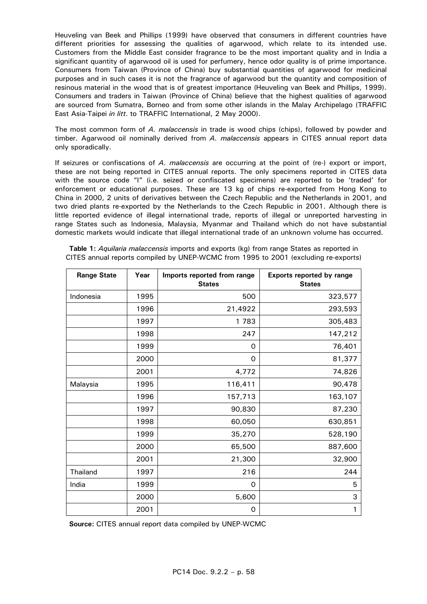Heuveling van Beek and Phillips (1999) have observed that consumers in different countries have different priorities for assessing the qualities of agarwood, which relate to its intended use. Customers from the Middle East consider fragrance to be the most important quality and in India a significant quantity of agarwood oil is used for perfumery, hence odor quality is of prime importance. Consumers from Taiwan (Province of China) buy substantial quantities of agarwood for medicinal purposes and in such cases it is not the fragrance of agarwood but the quantity and composition of resinous material in the wood that is of greatest importance (Heuveling van Beek and Phillips, 1999). Consumers and traders in Taiwan (Province of China) believe that the highest qualities of agarwood are sourced from Sumatra, Borneo and from some other islands in the Malay Archipelago (TRAFFIC East Asia-Taipei *in litt*. to TRAFFIC International, 2 May 2000).

 The most common form of *A. malaccensis* in trade is wood chips (chips), followed by powder and timber. Agarwood oil nominally derived from *A. malaccensis* appears in CITES annual report data only sporadically.

 If seizures or confiscations of *A. malaccensis* are occurring at the point of (re-) export or import, these are not being reported in CITES annual reports. The only specimens reported in CITES data with the source code "I" (i.e. seized or confiscated specimens) are reported to be 'traded' for enforcement or educational purposes. These are 13 kg of chips re-exported from Hong Kong to China in 2000, 2 units of derivatives between the Czech Republic and the Netherlands in 2001, and two dried plants re-exported by the Netherlands to the Czech Republic in 2001. Although there is little reported evidence of illegal international trade, reports of illegal or unreported harvesting in range States such as Indonesia, Malaysia, Myanmar and Thailand which do not have substantial domestic markets would indicate that illegal international trade of an unknown volume has occurred.

**Table 1:** *Aquilaria malaccensis* imports and exports (kg) from range States as reported in CITES annual reports compiled by UNEP-WCMC from 1995 to 2001 (excluding re-exports)

| <b>Range State</b> | Year | Imports reported from range<br><b>States</b> | <b>Exports reported by range</b><br><b>States</b> |
|--------------------|------|----------------------------------------------|---------------------------------------------------|
| Indonesia          | 1995 | 500                                          | 323,577                                           |
|                    | 1996 | 21,4922                                      | 293,593                                           |
|                    | 1997 | 1783                                         | 305,483                                           |
|                    | 1998 | 247                                          | 147,212                                           |
|                    | 1999 | 0                                            | 76,401                                            |
|                    | 2000 | 0                                            | 81,377                                            |
|                    | 2001 | 4,772                                        | 74,826                                            |
| Malaysia           | 1995 | 116,411                                      | 90,478                                            |
|                    | 1996 | 157,713                                      | 163,107                                           |
|                    | 1997 | 90,830                                       | 87,230                                            |
|                    | 1998 | 60,050                                       | 630,851                                           |
|                    | 1999 | 35,270                                       | 528,190                                           |
|                    | 2000 | 65,500                                       | 887,600                                           |
|                    | 2001 | 21,300                                       | 32,900                                            |
| Thailand           | 1997 | 216                                          | 244                                               |
| India              | 1999 | 0                                            | 5                                                 |
|                    | 2000 | 5,600                                        | 3                                                 |
|                    | 2001 | 0                                            | 1                                                 |

 **Source:** CITES annual report data compiled by UNEP-WCMC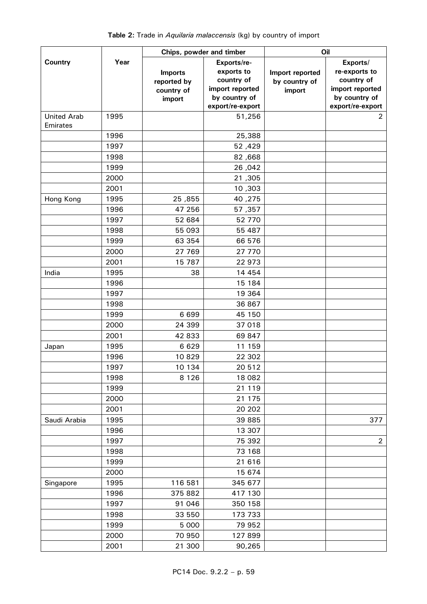|                                |      | Chips, powder and timber                              |                                                                             | Oil                                        |                                                                             |  |  |
|--------------------------------|------|-------------------------------------------------------|-----------------------------------------------------------------------------|--------------------------------------------|-----------------------------------------------------------------------------|--|--|
| <b>Country</b>                 | Year | <b>Imports</b><br>reported by<br>country of<br>import | Exports/re-<br>exports to<br>country of<br>import reported<br>by country of | Import reported<br>by country of<br>import | Exports/<br>re-exports to<br>country of<br>import reported<br>by country of |  |  |
|                                |      |                                                       | export/re-export                                                            |                                            | export/re-export                                                            |  |  |
| <b>United Arab</b><br>Emirates | 1995 |                                                       | 51,256                                                                      |                                            | $\overline{2}$                                                              |  |  |
|                                | 1996 |                                                       | 25,388                                                                      |                                            |                                                                             |  |  |
|                                | 1997 |                                                       | 52,429                                                                      |                                            |                                                                             |  |  |
|                                | 1998 |                                                       | 82,668                                                                      |                                            |                                                                             |  |  |
|                                | 1999 |                                                       | 26,042                                                                      |                                            |                                                                             |  |  |
|                                | 2000 |                                                       | 21,305                                                                      |                                            |                                                                             |  |  |
|                                | 2001 |                                                       | 10,303                                                                      |                                            |                                                                             |  |  |
| Hong Kong                      | 1995 | 25,855                                                | 40,275                                                                      |                                            |                                                                             |  |  |
|                                | 1996 | 47 256                                                | 57,357                                                                      |                                            |                                                                             |  |  |
|                                | 1997 | 52 684                                                | 52 770                                                                      |                                            |                                                                             |  |  |
|                                | 1998 | 55 093                                                | 55 487                                                                      |                                            |                                                                             |  |  |
|                                | 1999 | 63 354                                                | 66 576                                                                      |                                            |                                                                             |  |  |
|                                | 2000 | 27 769                                                | 27 770                                                                      |                                            |                                                                             |  |  |
|                                | 2001 | 15 787                                                | 22 973                                                                      |                                            |                                                                             |  |  |
| India                          | 1995 | 38                                                    | 14 4 54                                                                     |                                            |                                                                             |  |  |
|                                | 1996 |                                                       | 15 184                                                                      |                                            |                                                                             |  |  |
|                                | 1997 |                                                       | 19 364                                                                      |                                            |                                                                             |  |  |
|                                | 1998 |                                                       | 36 867                                                                      |                                            |                                                                             |  |  |
|                                | 1999 | 6 6 9 9                                               | 45 150                                                                      |                                            |                                                                             |  |  |
|                                | 2000 | 24 399                                                | 37 018                                                                      |                                            |                                                                             |  |  |
|                                | 2001 | 42 833                                                | 69 847                                                                      |                                            |                                                                             |  |  |
| Japan                          | 1995 | 6 6 2 9                                               | 11 159                                                                      |                                            |                                                                             |  |  |
|                                | 1996 | 10829                                                 | 22 302                                                                      |                                            |                                                                             |  |  |
|                                | 1997 | 10 134                                                | 20 512                                                                      |                                            |                                                                             |  |  |
|                                | 1998 | 8 1 2 6                                               | 18 082                                                                      |                                            |                                                                             |  |  |
|                                | 1999 |                                                       | 21 119                                                                      |                                            |                                                                             |  |  |
|                                | 2000 |                                                       | 21 175                                                                      |                                            |                                                                             |  |  |
|                                | 2001 |                                                       | 20 20 2                                                                     |                                            |                                                                             |  |  |
| Saudi Arabia                   | 1995 |                                                       | 39 885                                                                      |                                            | 377                                                                         |  |  |
|                                | 1996 |                                                       | 13 307                                                                      |                                            |                                                                             |  |  |
|                                | 1997 |                                                       | 75 392                                                                      |                                            | $\overline{2}$                                                              |  |  |
|                                | 1998 |                                                       | 73 168                                                                      |                                            |                                                                             |  |  |
|                                | 1999 |                                                       | 21 616                                                                      |                                            |                                                                             |  |  |
|                                | 2000 |                                                       | 15 674                                                                      |                                            |                                                                             |  |  |
| Singapore                      | 1995 | 116 581                                               | 345 677                                                                     |                                            |                                                                             |  |  |
|                                | 1996 | 375 882                                               | 417 130                                                                     |                                            |                                                                             |  |  |
|                                | 1997 | 91 046                                                | 350 158                                                                     |                                            |                                                                             |  |  |
|                                | 1998 | 33 550                                                | 173 733                                                                     |                                            |                                                                             |  |  |
|                                | 1999 | 5 0 0 0                                               | 79 952                                                                      |                                            |                                                                             |  |  |
|                                | 2000 | 70 950                                                | 127 899                                                                     |                                            |                                                                             |  |  |
|                                | 2001 | 21 300                                                | 90,265                                                                      |                                            |                                                                             |  |  |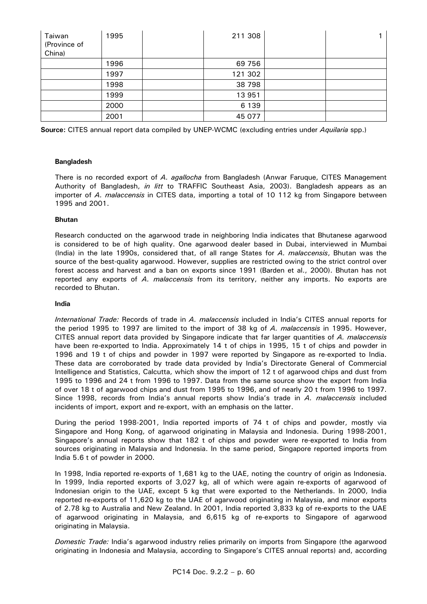| Taiwan<br>(Province of<br>China) | 1995 | 211 308 |  |
|----------------------------------|------|---------|--|
|                                  | 1996 | 69 756  |  |
|                                  | 1997 | 121 302 |  |
|                                  | 1998 | 38 798  |  |
|                                  | 1999 | 13 951  |  |
|                                  | 2000 | 6 1 3 9 |  |
|                                  | 2001 | 45 077  |  |

**Source:** CITES annual report data compiled by UNEP-WCMC (excluding entries under *Aquilaria* spp.)

#### **Bangladesh**

 There is no recorded export of *A. agallocha* from Bangladesh (Anwar Faruque, CITES Management Authority of Bangladesh, *in litt* to TRAFFIC Southeast Asia, 2003). Bangladesh appears as an importer of *A. malaccensis* in CITES data, importing a total of 10 112 kg from Singapore between 1995 and 2001.

#### **Bhutan**

 Research conducted on the agarwood trade in neighboring India indicates that Bhutanese agarwood is considered to be of high quality. One agarwood dealer based in Dubai, interviewed in Mumbai (India) in the late 1990s, considered that, of all range States for *A. malaccensis*, Bhutan was the source of the best-quality agarwood. However, supplies are restricted owing to the strict control over forest access and harvest and a ban on exports since 1991 (Barden et al., 2000). Bhutan has not reported any exports of *A. malaccensis* from its territory, neither any imports. No exports are recorded to Bhutan.

#### **India**

 *International Trade:* Records of trade in *A. malaccensis* included in India's CITES annual reports for the period 1995 to 1997 are limited to the import of 38 kg of *A. malaccensis* in 1995. However, CITES annual report data provided by Singapore indicate that far larger quantities of *A. malaccensis*  have been re-exported to India. Approximately 14 t of chips in 1995, 15 t of chips and powder in 1996 and 19 t of chips and powder in 1997 were reported by Singapore as re-exported to India. These data are corroborated by trade data provided by India's Directorate General of Commercial Intelligence and Statistics, Calcutta, which show the import of 12 t of agarwood chips and dust from 1995 to 1996 and 24 t from 1996 to 1997. Data from the same source show the export from India of over 18 t of agarwood chips and dust from 1995 to 1996, and of nearly 20 t from 1996 to 1997. Since 1998, records from India's annual reports show India's trade in *A. malaccensis* included incidents of import, export and re-export, with an emphasis on the latter.

 During the period 1998-2001, India reported imports of 74 t of chips and powder, mostly via Singapore and Hong Kong, of agarwood originating in Malaysia and Indonesia. During 1998-2001, Singapore's annual reports show that 182 t of chips and powder were re-exported to India from sources originating in Malaysia and Indonesia. In the same period, Singapore reported imports from India 5.6 t of powder in 2000.

 In 1998, India reported re-exports of 1,681 kg to the UAE, noting the country of origin as Indonesia. In 1999, India reported exports of 3,027 kg, all of which were again re-exports of agarwood of Indonesian origin to the UAE, except 5 kg that were exported to the Netherlands. In 2000, India reported re-exports of 11,620 kg to the UAE of agarwood originating in Malaysia, and minor exports of 2.78 kg to Australia and New Zealand. In 2001, India reported 3,833 kg of re-exports to the UAE of agarwood originating in Malaysia, and 6,615 kg of re-exports to Singapore of agarwood originating in Malaysia.

*Domestic Trade:* India's agarwood industry relies primarily on imports from Singapore (the agarwood originating in Indonesia and Malaysia, according to Singapore's CITES annual reports) and, according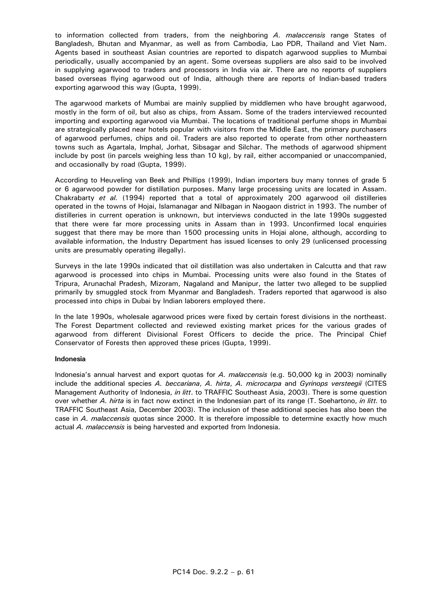to information collected from traders, from the neighboring *A. malaccensis* range States of Bangladesh, Bhutan and Myanmar, as well as from Cambodia, Lao PDR, Thailand and Viet Nam. Agents based in southeast Asian countries are reported to dispatch agarwood supplies to Mumbai periodically, usually accompanied by an agent. Some overseas suppliers are also said to be involved in supplying agarwood to traders and processors in India via air. There are no reports of suppliers based overseas flying agarwood out of India, although there are reports of Indian-based traders exporting agarwood this way (Gupta, 1999).

 The agarwood markets of Mumbai are mainly supplied by middlemen who have brought agarwood, mostly in the form of oil, but also as chips, from Assam. Some of the traders interviewed recounted importing and exporting agarwood via Mumbai. The locations of traditional perfume shops in Mumbai are strategically placed near hotels popular with visitors from the Middle East, the primary purchasers of agarwood perfumes, chips and oil. Traders are also reported to operate from other northeastern towns such as Agartala, Imphal, Jorhat, Sibsagar and Silchar. The methods of agarwood shipment include by post (in parcels weighing less than 10 kg), by rail, either accompanied or unaccompanied, and occasionally by road (Gupta, 1999).

 According to Heuveling van Beek and Phillips (1999), Indian importers buy many tonnes of grade 5 or 6 agarwood powder for distillation purposes. Many large processing units are located in Assam. Chakrabarty *et al.* (1994) reported that a total of approximately 200 agarwood oil distilleries operated in the towns of Hojai, Islamanagar and Nilbagan in Naogaon district in 1993. The number of distilleries in current operation is unknown, but interviews conducted in the late 1990s suggested that there were far more processing units in Assam than in 1993. Unconfirmed local enquiries suggest that there may be more than 1500 processing units in Hojai alone, although, according to available information, the Industry Department has issued licenses to only 29 (unlicensed processing units are presumably operating illegally).

 Surveys in the late 1990s indicated that oil distillation was also undertaken in Calcutta and that raw agarwood is processed into chips in Mumbai. Processing units were also found in the States of Tripura, Arunachal Pradesh, Mizoram, Nagaland and Manipur, the latter two alleged to be supplied primarily by smuggled stock from Myanmar and Bangladesh. Traders reported that agarwood is also processed into chips in Dubai by Indian laborers employed there.

 In the late 1990s, wholesale agarwood prices were fixed by certain forest divisions in the northeast. The Forest Department collected and reviewed existing market prices for the various grades of agarwood from different Divisional Forest Officers to decide the price. The Principal Chief Conservator of Forests then approved these prices (Gupta, 1999).

#### **Indonesia**

 Indonesia's annual harvest and export quotas for *A. malaccensis* (e.g. 50,000 kg in 2003) nominally include the additional species *A. beccariana*, *A. hirta*, *A. microcarpa* and *Gyrinops versteegii* (CITES Management Authority of Indonesia, *in litt*. to TRAFFIC Southeast Asia, 2003). There is some question over whether *A. hirta* is in fact now extinct in the Indonesian part of its range (T. Soehartono, *in litt.* to TRAFFIC Southeast Asia, December 2003). The inclusion of these additional species has also been the case in *A. malaccensis* quotas since 2000. It is therefore impossible to determine exactly how much actual *A. malaccensis* is being harvested and exported from Indonesia.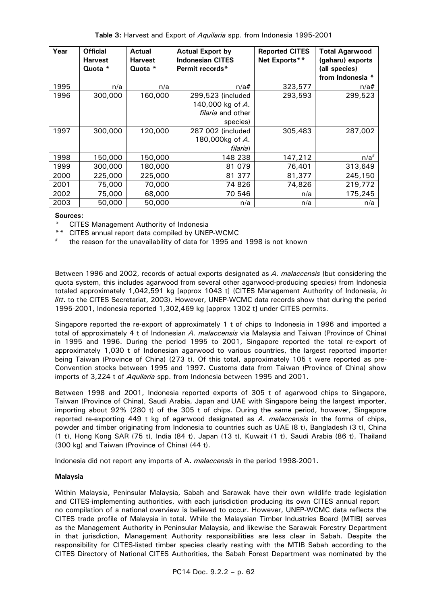| Table 3: Harvest and Export of Aquilaria spp. from Indonesia 1995-2001 |  |
|------------------------------------------------------------------------|--|
|------------------------------------------------------------------------|--|

| Year | <b>Official</b><br><b>Harvest</b><br>Quota * | <b>Actual</b><br><b>Harvest</b><br>Quota * | <b>Actual Export by</b><br><b>Indonesian CITES</b><br>Permit records* | <b>Reported CITES</b><br>Net Exports** | <b>Total Agarwood</b><br>(gaharu) exports<br>(all species) |
|------|----------------------------------------------|--------------------------------------------|-----------------------------------------------------------------------|----------------------------------------|------------------------------------------------------------|
|      |                                              |                                            |                                                                       |                                        | from Indonesia *                                           |
| 1995 | n/a                                          | n/a                                        | n/a#                                                                  | 323,577                                | $n/a$ #                                                    |
| 1996 | 300,000                                      | 160,000                                    | 299,523 (included                                                     | 293,593                                | 299,523                                                    |
|      |                                              |                                            | 140,000 kg of A.                                                      |                                        |                                                            |
|      |                                              |                                            | <i>filaria</i> and other                                              |                                        |                                                            |
|      |                                              |                                            | species)                                                              |                                        |                                                            |
| 1997 | 300,000                                      | 120,000                                    | 287 002 (included                                                     | 305,483                                | 287,002                                                    |
|      |                                              |                                            | 180,000kg of A.                                                       |                                        |                                                            |
|      |                                              |                                            | filaria)                                                              |                                        |                                                            |
| 1998 | 150,000                                      | 150,000                                    | 148 238                                                               | 147,212                                | $n/a^*$                                                    |
| 1999 | 300,000                                      | 180,000                                    | 81 0 79                                                               | 76,401                                 | 313,649                                                    |
| 2000 | 225,000                                      | 225,000                                    | 81 377                                                                | 81,377                                 | 245,150                                                    |
| 2001 | 75,000                                       | 70,000                                     | 74 826                                                                | 74,826                                 | 219,772                                                    |
| 2002 | 75,000                                       | 68,000                                     | 70 546                                                                | n/a                                    | 175,245                                                    |
| 2003 | 50,000                                       | 50,000                                     | n/a                                                                   | n/a                                    | n/a                                                        |

#### **Sources:**

**CITES Management Authority of Indonesia** 

- CITES annual report data compiled by UNEP-WCMC
- the reason for the unavailability of data for 1995 and 1998 is not known

 Between 1996 and 2002, records of actual exports designated as *A. malaccensis* (but considering the quota system, this includes agarwood from several other agarwood-producing species) from Indonesia totaled approximately 1,042,591 kg [approx 1043 t] (CITES Management Authority of Indonesia, *in litt*. to the CITES Secretariat, 2003). However, UNEP-WCMC data records show that during the period 1995-2001, Indonesia reported 1,302,469 kg [approx 1302 t] under CITES permits.

 Singapore reported the re-export of approximately 1 t of chips to Indonesia in 1996 and imported a total of approximately 4 t of Indonesian *A. malaccensis* via Malaysia and Taiwan (Province of China) in 1995 and 1996. During the period 1995 to 2001, Singapore reported the total re-export of approximately 1,030 t of Indonesian agarwood to various countries, the largest reported importer being Taiwan (Province of China) (273 t). Of this total, approximately 105 t were reported as pre-Convention stocks between 1995 and 1997. Customs data from Taiwan (Province of China) show imports of 3,224 t of *Aquilaria* spp. from Indonesia between 1995 and 2001.

 Between 1998 and 2001, Indonesia reported exports of 305 t of agarwood chips to Singapore, Taiwan (Province of China), Saudi Arabia, Japan and UAE with Singapore being the largest importer, importing about 92% (280 t) of the 305 t of chips. During the same period, however, Singapore reported re-exporting 449 t kg of agarwood designated as *A. malaccensis* in the forms of chips, powder and timber originating from Indonesia to countries such as UAE (8 t), Bangladesh (3 t), China (1 t), Hong Kong SAR (75 t), India (84 t), Japan (13 t), Kuwait (1 t), Saudi Arabia (86 t), Thailand (300 kg) and Taiwan (Province of China) (44 t).

Indonesia did not report any imports of A. *malaccensis* in the period 1998-2001.

#### **Malaysia**

 Within Malaysia, Peninsular Malaysia, Sabah and Sarawak have their own wildlife trade legislation and CITES-implementing authorities, with each jurisdiction producing its own CITES annual report – no compilation of a national overview is believed to occur. However, UNEP-WCMC data reflects the CITES trade profile of Malaysia in total. While the Malaysian Timber Industries Board (MTIB) serves as the Management Authority in Peninsular Malaysia, and likewise the Sarawak Forestry Department in that jurisdiction, Management Authority responsibilities are less clear in Sabah. Despite the responsibility for CITES-listed timber species clearly resting with the MTIB Sabah according to the CITES Directory of National CITES Authorities, the Sabah Forest Department was nominated by the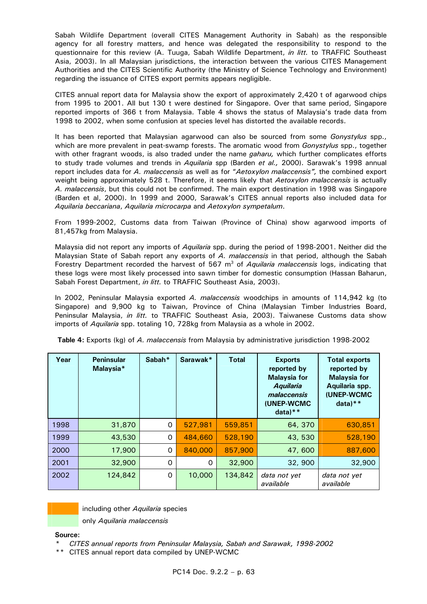Sabah Wildlife Department (overall CITES Management Authority in Sabah) as the responsible agency for all forestry matters, and hence was delegated the responsibility to respond to the questionnaire for this review (A. Tuuga, Sabah Wildlife Department, *in litt.* to TRAFFIC Southeast Asia, 2003). In all Malaysian jurisdictions, the interaction between the various CITES Management Authorities and the CITES Scientific Authority (the Ministry of Science Technology and Environment) regarding the issuance of CITES export permits appears negligible.

 CITES annual report data for Malaysia show the export of approximately 2,420 t of agarwood chips from 1995 to 2001. All but 130 t were destined for Singapore. Over that same period, Singapore reported imports of 366 t from Malaysia. Table 4 shows the status of Malaysia's trade data from 1998 to 2002, when some confusion at species level has distorted the available records.

 It has been reported that Malaysian agarwood can also be sourced from some *Gonystylus* spp., which are more prevalent in peat-swamp forests. The aromatic wood from *Gonystylus* spp., together with other fragrant woods, is also traded under the name *gaharu,* which further complicates efforts to study trade volumes and trends in *Aquilaria* spp (Barden *et al.,* 2000). Sarawak's 1998 annual report includes data for *A. malaccensis* as well as for "*Aetoxylon malaccensis",* the combined export weight being approximately 528 t. Therefore, it seems likely that *Aetoxylon malaccensis* is actually *A. malaccensis*, but this could not be confirmed. The main export destination in 1998 was Singapore (Barden et al, 2000). In 1999 and 2000, Sarawak's CITES annual reports also included data for *Aquilaria beccariana*, *Aquilaria microcarpa* and *Aetoxylon sympetalum*.

 From 1999-2002, Customs data from Taiwan (Province of China) show agarwood imports of 81,457kg from Malaysia.

 Malaysia did not report any imports of *Aquilaria* spp. during the period of 1998-2001. Neither did the Malaysian State of Sabah report any exports of *A. malaccensis* in that period, although the Sabah Forestry Department recorded the harvest of 567 m<sup>3</sup> of *Aquilaria malaccensis* logs, indicating that these logs were most likely processed into sawn timber for domestic consumption (Hassan Baharun, Sabah Forest Department, *in litt.* to TRAFFIC Southeast Asia, 2003).

 In 2002, Peninsular Malaysia exported *A. malaccensis* woodchips in amounts of 114,942 kg (to Singapore) and 9,900 kg to Taiwan, Province of China (Malaysian Timber Industries Board, Peninsular Malaysia, *in litt.* to TRAFFIC Southeast Asia, 2003). Taiwanese Customs data show imports of *Aquilaria* spp. totaling 10, 728kg from Malaysia as a whole in 2002.

| Year | <b>Peninsular</b><br>Malaysia* | Sabah*   | Sarawak* | <b>Total</b> | <b>Exports</b><br>reported by<br><b>Malaysia for</b><br><b>Aquilaria</b><br>malaccensis<br>(UNEP-WCMC<br>$data)**$ | <b>Total exports</b><br>reported by<br><b>Malaysia for</b><br>Aquilaria spp.<br>(UNEP-WCMC<br>$data)**$ |
|------|--------------------------------|----------|----------|--------------|--------------------------------------------------------------------------------------------------------------------|---------------------------------------------------------------------------------------------------------|
| 1998 | 31,870                         | 0        | 527,981  | 559,851      | 64, 370                                                                                                            | 630,851                                                                                                 |
| 1999 | 43,530                         | $\Omega$ | 484,660  | 528,190      | 43, 530                                                                                                            | 528,190                                                                                                 |
| 2000 | 17,900                         | $\Omega$ | 840,000  | 857,900      | 47,600                                                                                                             | 887,600                                                                                                 |
| 2001 | 32,900                         | 0        | 0        | 32,900       | 32, 900                                                                                                            | 32,900                                                                                                  |
| 2002 | 124,842                        | $\Omega$ | 10,000   | 134,842      | data not yet<br>available                                                                                          | data not yet<br>available                                                                               |

**Table 4:** Exports (kg) of *A. malaccensis* from Malaysia by administrative jurisdiction 1998-2002



including other *Aquilaria* species

only *Aquilaria malaccensis*

#### **Source:**

 *\* CITES annual reports from Peninsular Malaysia, Sabah and Sarawak, 1998-2002* 

 *\*\** CITES annual report data compiled by UNEP-WCMC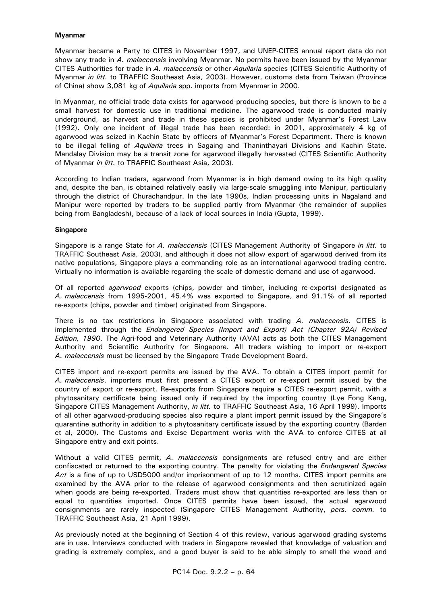# **Myanmar**

 Myanmar became a Party to CITES in November 1997, and UNEP-CITES annual report data do not show any trade in *A. malaccensis* involving Myanmar. No permits have been issued by the Myanmar CITES Authorities for trade in *A. malaccensis* or other *Aquilaria* species (CITES Scientific Authority of Myanmar *in litt.* to TRAFFIC Southeast Asia, 2003). However, customs data from Taiwan (Province of China) show 3,081 kg of *Aquilaria* spp. imports from Myanmar in 2000.

 In Myanmar, no official trade data exists for agarwood-producing species, but there is known to be a small harvest for domestic use in traditional medicine. The agarwood trade is conducted mainly underground, as harvest and trade in these species is prohibited under Myanmar's Forest Law (1992). Only one incident of illegal trade has been recorded: in 2001, approximately 4 kg of agarwood was seized in Kachin State by officers of Myanmar's Forest Department. There is known to be illegal felling of *Aquilaria* trees in Sagaing and Thaninthayari Divisions and Kachin State. Mandalay Division may be a transit zone for agarwood illegally harvested (CITES Scientific Authority of Myanmar *in litt.* to TRAFFIC Southeast Asia, 2003).

 According to Indian traders, agarwood from Myanmar is in high demand owing to its high quality and, despite the ban, is obtained relatively easily via large-scale smuggling into Manipur, particularly through the district of Churachandpur. In the late 1990s, Indian processing units in Nagaland and Manipur were reported by traders to be supplied partly from Myanmar (the remainder of supplies being from Bangladesh), because of a lack of local sources in India (Gupta, 1999).

#### **Singapore**

 Singapore is a range State for *A. malaccensis* (CITES Management Authority of Singapore *in litt.* to TRAFFIC Southeast Asia, 2003), and although it does not allow export of agarwood derived from its native populations, Singapore plays a commanding role as an international agarwood trading centre. Virtually no information is available regarding the scale of domestic demand and use of agarwood.

 Of all reported *agarwood* exports (chips, powder and timber, including re-exports) designated as *A. malaccensis* from 1995-2001, 45.4% was exported to Singapore, and 91.1% of all reported re-exports (chips, powder and timber) originated from Singapore.

 There is no tax restrictions in Singapore associated with trading *A. malaccensis*. CITES is implemented through the *Endangered Species (Import and Export) Act (Chapter 92A) Revised Edition, 1990*. The Agri-food and Veterinary Authority (AVA) acts as both the CITES Management Authority and Scientific Authority for Singapore. All traders wishing to import or re-export *A. malaccensis* must be licensed by the Singapore Trade Development Board.

 CITES import and re-export permits are issued by the AVA. To obtain a CITES import permit for *A. malaccensis*, importers must first present a CITES export or re-export permit issued by the country of export or re-export. Re-exports from Singapore require a CITES re-export permit, with a phytosanitary certificate being issued only if required by the importing country (Lye Fong Keng, Singapore CITES Management Authority, *in litt.* to TRAFFIC Southeast Asia, 16 April 1999). Imports of all other agarwood-producing species also require a plant import permit issued by the Singapore's quarantine authority in addition to a phytosanitary certificate issued by the exporting country (Barden et al, 2000). The Customs and Excise Department works with the AVA to enforce CITES at all Singapore entry and exit points.

 Without a valid CITES permit, *A. malaccensis* consignments are refused entry and are either confiscated or returned to the exporting country. The penalty for violating the *Endangered Species Act* is a fine of up to USD5000 and/or imprisonment of up to 12 months. CITES import permits are examined by the AVA prior to the release of agarwood consignments and then scrutinized again when goods are being re-exported. Traders must show that quantities re-exported are less than or equal to quantities imported. Once CITES permits have been issued, the actual agarwood consignments are rarely inspected (Singapore CITES Management Authority, *pers. comm.* to TRAFFIC Southeast Asia, 21 April 1999).

 As previously noted at the beginning of Section 4 of this review, various agarwood grading systems are in use. Interviews conducted with traders in Singapore revealed that knowledge of valuation and grading is extremely complex, and a good buyer is said to be able simply to smell the wood and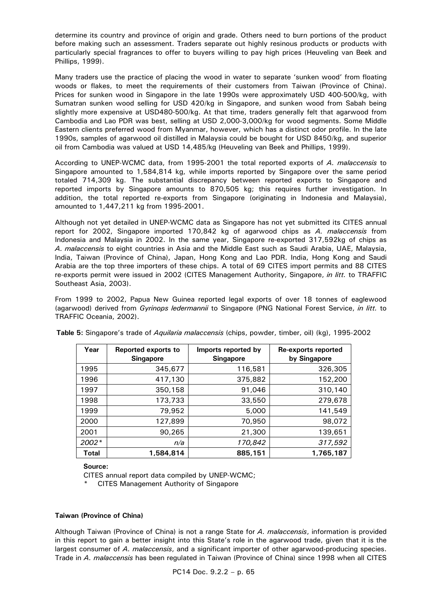determine its country and province of origin and grade. Others need to burn portions of the product before making such an assessment. Traders separate out highly resinous products or products with particularly special fragrances to offer to buyers willing to pay high prices (Heuveling van Beek and Phillips, 1999).

 Many traders use the practice of placing the wood in water to separate 'sunken wood' from floating woods or flakes, to meet the requirements of their customers from Taiwan (Province of China). Prices for sunken wood in Singapore in the late 1990s were approximately USD 400-500/kg, with Sumatran sunken wood selling for USD 420/kg in Singapore, and sunken wood from Sabah being slightly more expensive at USD480-500/kg. At that time, traders generally felt that agarwood from Cambodia and Lao PDR was best, selling at USD 2,000-3,000/kg for wood segments. Some Middle Eastern clients preferred wood from Myanmar, however, which has a distinct odor profile. In the late 1990s, samples of agarwood oil distilled in Malaysia could be bought for USD 8450/kg, and superior oil from Cambodia was valued at USD 14,485/kg (Heuveling van Beek and Phillips, 1999).

 According to UNEP-WCMC data, from 1995-2001 the total reported exports of *A. malaccensis* to Singapore amounted to 1,584,814 kg, while imports reported by Singapore over the same period totaled 714,309 kg. The substantial discrepancy between reported exports to Singapore and reported imports by Singapore amounts to 870,505 kg; this requires further investigation. In addition, the total reported re-exports from Singapore (originating in Indonesia and Malaysia), amounted to 1,447,211 kg from 1995-2001.

 Although not yet detailed in UNEP-WCMC data as Singapore has not yet submitted its CITES annual report for 2002, Singapore imported 170,842 kg of agarwood chips as *A. malaccensis* from Indonesia and Malaysia in 2002. In the same year, Singapore re-exported 317,592kg of chips as *A. malaccensis* to eight countries in Asia and the Middle East such as Saudi Arabia, UAE, Malaysia, India, Taiwan (Province of China), Japan, Hong Kong and Lao PDR. India, Hong Kong and Saudi Arabia are the top three importers of these chips. A total of 69 CITES import permits and 88 CITES re-exports permit were issued in 2002 (CITES Management Authority, Singapore, *in litt.* to TRAFFIC Southeast Asia, 2003).

 From 1999 to 2002, Papua New Guinea reported legal exports of over 18 tonnes of eaglewood (agarwood) derived from *Gyrinops ledermannii* to Singapore (PNG National Forest Service, *in litt.* to TRAFFIC Oceania, 2002).

| Year         | <b>Reported exports to</b><br><b>Singapore</b> | Imports reported by<br><b>Singapore</b> | Re-exports reported<br>by Singapore |
|--------------|------------------------------------------------|-----------------------------------------|-------------------------------------|
| 1995         | 345,677                                        | 116,581                                 | 326,305                             |
| 1996         | 417,130                                        | 375,882                                 | 152,200                             |
| 1997         | 350,158                                        | 91,046                                  | 310,140                             |
| 1998         | 173,733                                        | 33,550                                  | 279,678                             |
| 1999         | 79,952                                         | 5,000                                   | 141,549                             |
| 2000         | 127,899                                        | 70,950                                  | 98,072                              |
| 2001         | 90,265                                         | 21,300                                  | 139,651                             |
| 2002*        | n/a                                            | 170,842                                 | 317,592                             |
| <b>Total</b> | 1,584,814                                      | 885,151                                 | 1,765,187                           |

**Table 5:** Singapore's trade of *Aquilaria malaccensis* (chips, powder, timber, oil) (kg), 1995-2002

#### **Source:**

CITES annual report data compiled by UNEP-WCMC;

CITES Management Authority of Singapore

#### **Taiwan (Province of China)**

 Although Taiwan (Province of China) is not a range State for *A. malaccensis*, information is provided in this report to gain a better insight into this State's role in the agarwood trade, given that it is the largest consumer of *A. malaccensis*, and a significant importer of other agarwood-producing species. Trade in *A. malaccensis* has been regulated in Taiwan (Province of China) since 1998 when all CITES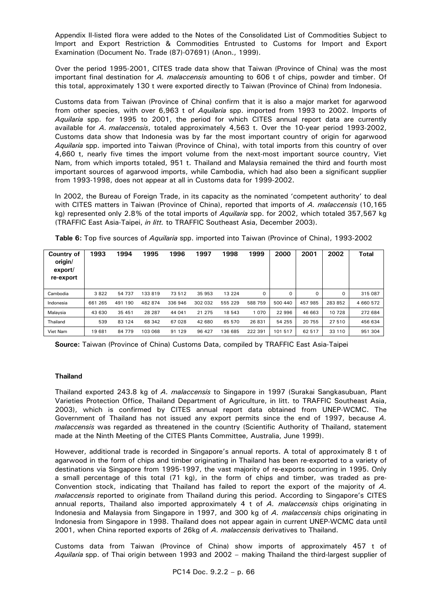Appendix II-listed flora were added to the Notes of the Consolidated List of Commodities Subject to Import and Export Restriction & Commodities Entrusted to Customs for Import and Export Examination (Document No. Trade (87)-07691) (Anon., 1999).

 Over the period 1995-2001, CITES trade data show that Taiwan (Province of China) was the most important final destination for *A. malaccensis* amounting to 606 t of chips, powder and timber. Of this total, approximately 130 t were exported directly to Taiwan (Province of China) from Indonesia.

 Customs data from Taiwan (Province of China) confirm that it is also a major market for agarwood from other species, with over 6,963 t of *Aquilaria* spp. imported from 1993 to 2002. Imports of *Aquilaria* spp. for 1995 to 2001, the period for which CITES annual report data are currently available for *A. malaccensis*, totaled approximately 4,563 t. Over the 10-year period 1993-2002, Customs data show that Indonesia was by far the most important country of origin for agarwood *Aquilaria* spp. imported into Taiwan (Province of China), with total imports from this country of over 4,660 t, nearly five times the import volume from the next-most important source country, Viet Nam, from which imports totaled, 951 t. Thailand and Malaysia remained the third and fourth most important sources of agarwood imports, while Cambodia, which had also been a significant supplier from 1993-1998, does not appear at all in Customs data for 1999-2002.

 In 2002, the Bureau of Foreign Trade, in its capacity as the nominated 'competent authority' to deal with CITES matters in Taiwan (Province of China), reported that imports of *A. malaccensis* (10,165 kg) represented only 2.8% of the total imports of *Aquilaria* spp. for 2002, which totaled 357,567 kg (TRAFFIC East Asia-Taipei, *in litt.* to TRAFFIC Southeast Asia, December 2003).

| Country of<br>origin/<br>export/<br>re-export | 1993    | 1994       | 1995    | 1996    | 1997    | 1998    | 1999    | 2000     | 2001     | 2002    | <b>Total</b> |
|-----------------------------------------------|---------|------------|---------|---------|---------|---------|---------|----------|----------|---------|--------------|
| Cambodia                                      | 3822    | 54 737     | 133819  | 73 512  | 35 953  | 13 2 24 | 0       | $\Omega$ | $\Omega$ | 0       | 315 087      |
| Indonesia                                     | 661 265 | 491<br>190 | 482 874 | 336 946 | 302 032 | 555 229 | 588 759 | 500 440  | 457985   | 283 852 | 4 660 572    |
| Malaysia                                      | 43 630  | 35 451     | 28 287  | 44 041  | 21 275  | 18 543  | 1070    | 22 996   | 46 663   | 10 728  | 272 684      |
| Thailand                                      | 539     | 83 124     | 68 342  | 67028   | 42 680  | 65 570  | 26 831  | 54 255   | 20 755   | 27 510  | 456 634      |
| Viet Nam                                      | 19681   | 84 779     | 103 068 | 91 1 29 | 96 427  | 136 685 | 222 391 | 101 517  | 62 517   | 33 110  | 951 304      |

**Table 6:** Top five sources of *Aquilaria* spp. imported into Taiwan (Province of China), 1993-2002

 **Source:** Taiwan (Province of China) Customs Data, compiled by TRAFFIC East Asia-Taipei

#### **Thailand**

 Thailand exported 243.8 kg of *A. malaccensis* to Singapore in 1997 (Surakai Sangkasubuan, Plant Varieties Protection Office, Thailand Department of Agriculture, in litt. to TRAFFIC Southeast Asia, 2003), which is confirmed by CITES annual report data obtained from UNEP-WCMC. The Government of Thailand has not issued any export permits since the end of 1997, because *A. malaccensis* was regarded as threatened in the country (Scientific Authority of Thailand, statement made at the Ninth Meeting of the CITES Plants Committee, Australia, June 1999).

 However, additional trade is recorded in Singapore's annual reports. A total of approximately 8 t of agarwood in the form of chips and timber originating in Thailand has been re-exported to a variety of destinations via Singapore from 1995-1997, the vast majority of re-exports occurring in 1995. Only a small percentage of this total (71 kg), in the form of chips and timber, was traded as pre-Convention stock, indicating that Thailand has failed to report the export of the majority of *A. malaccensis* reported to originate from Thailand during this period. According to Singapore's CITES annual reports, Thailand also imported approximately 4 t of *A. malaccensis* chips originating in Indonesia and Malaysia from Singapore in 1997, and 300 kg of *A. malaccensis* chips originating in Indonesia from Singapore in 1998. Thailand does not appear again in current UNEP-WCMC data until 2001, when China reported exports of 26kg of *A. malaccensis* derivatives to Thailand.

 Customs data from Taiwan (Province of China) show imports of approximately 457 t of *Aquilaria* spp. of Thai origin between 1993 and 2002 – making Thailand the third-largest supplier of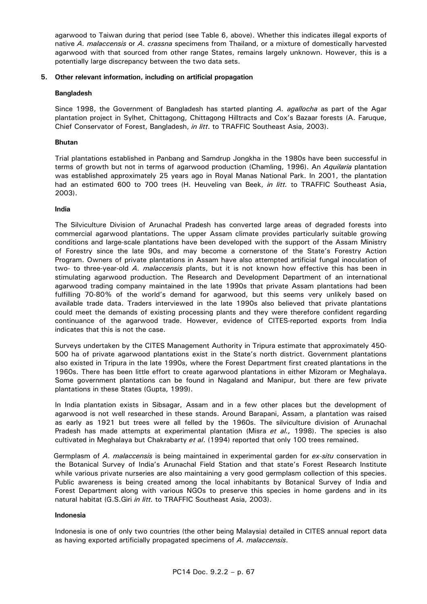agarwood to Taiwan during that period (see Table 6, above). Whether this indicates illegal exports of native *A. malaccensis* or *A. crassna* specimens from Thailand, or a mixture of domestically harvested agarwood with that sourced from other range States, remains largely unknown. However, this is a potentially large discrepancy between the two data sets.

# **5. Other relevant information, including on artificial propagation**

# **Bangladesh**

 Since 1998, the Government of Bangladesh has started planting *A. agallocha* as part of the Agar plantation project in Sylhet, Chittagong, Chittagong Hilltracts and Cox's Bazaar forests (A. Faruque, Chief Conservator of Forest, Bangladesh, *in litt*. to TRAFFIC Southeast Asia, 2003).

# **Bhutan**

 Trial plantations established in Panbang and Samdrup Jongkha in the 1980s have been successful in terms of growth but not in terms of agarwood production (Chamling, 1996). An *Aquilaria* plantation was established approximately 25 years ago in Royal Manas National Park. In 2001, the plantation had an estimated 600 to 700 trees (H. Heuveling van Beek, *in litt.* to TRAFFIC Southeast Asia, 2003).

# **India**

 The Silviculture Division of Arunachal Pradesh has converted large areas of degraded forests into commercial agarwood plantations. The upper Assam climate provides particularly suitable growing conditions and large-scale plantations have been developed with the support of the Assam Ministry of Forestry since the late 90s, and may become a cornerstone of the State's Forestry Action Program. Owners of private plantations in Assam have also attempted artificial fungal inoculation of two- to three-year-old *A. malaccensis* plants, but it is not known how effective this has been in stimulating agarwood production. The Research and Development Department of an international agarwood trading company maintained in the late 1990s that private Assam plantations had been fulfilling 70-80% of the world's demand for agarwood, but this seems very unlikely based on available trade data. Traders interviewed in the late 1990s also believed that private plantations could meet the demands of existing processing plants and they were therefore confident regarding continuance of the agarwood trade. However, evidence of CITES-reported exports from India indicates that this is not the case.

 Surveys undertaken by the CITES Management Authority in Tripura estimate that approximately 450- 500 ha of private agarwood plantations exist in the State's north district. Government plantations also existed in Tripura in the late 1990s, where the Forest Department first created plantations in the 1960s. There has been little effort to create agarwood plantations in either Mizoram or Meghalaya. Some government plantations can be found in Nagaland and Manipur, but there are few private plantations in these States (Gupta, 1999).

 In India plantation exists in Sibsagar, Assam and in a few other places but the development of agarwood is not well researched in these stands. Around Barapani, Assam, a plantation was raised as early as 1921 but trees were all felled by the 1960s. The silviculture division of Arunachal Pradesh has made attempts at experimental plantation (Misra *et al.,* 1998). The species is also cultivated in Meghalaya but Chakrabarty *et al*. (1994) reported that only 100 trees remained.

 Germplasm of *A. malaccensis* is being maintained in experimental garden for *ex-situ* conservation in the Botanical Survey of India's Arunachal Field Station and that state's Forest Research Institute while various private nurseries are also maintaining a very good germplasm collection of this species. Public awareness is being created among the local inhabitants by Botanical Survey of India and Forest Department along with various NGOs to preserve this species in home gardens and in its natural habitat (G.S.Giri *in litt.* to TRAFFIC Southeast Asia, 2003).

#### **Indonesia**

 Indonesia is one of only two countries (the other being Malaysia) detailed in CITES annual report data as having exported artificially propagated specimens of *A. malaccensis*.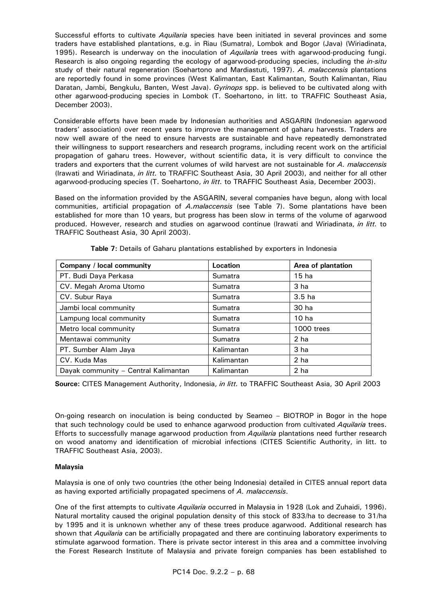Successful efforts to cultivate *Aquilaria* species have been initiated in several provinces and some traders have established plantations, e.g. in Riau (Sumatra), Lombok and Bogor (Java) (Wiriadinata, 1995). Research is underway on the inoculation of *Aquilaria* trees with agarwood-producing fungi. Research is also ongoing regarding the ecology of agarwood-producing species, including the *in-situ*  study of their natural regeneration (Soehartono and Mardiastuti, 1997). *A. malaccensis* plantations are reportedly found in some provinces (West Kalimantan, East Kalimantan, South Kalimantan, Riau Daratan, Jambi, Bengkulu, Banten, West Java). *Gyrinops* spp. is believed to be cultivated along with other agarwood-producing species in Lombok (T. Soehartono, in litt. to TRAFFIC Southeast Asia, December 2003).

 Considerable efforts have been made by Indonesian authorities and ASGARIN (Indonesian agarwood traders' association) over recent years to improve the management of gaharu harvests. Traders are now well aware of the need to ensure harvests are sustainable and have repeatedly demonstrated their willingness to support researchers and research programs, including recent work on the artificial propagation of gaharu trees. However, without scientific data, it is very difficult to convince the traders and exporters that the current volumes of wild harvest are not sustainable for *A. malaccensis* (Irawati and Wiriadinata, *in litt.* to TRAFFIC Southeast Asia, 30 April 2003), and neither for all other agarwood-producing species (T. Soehartono, *in litt.* to TRAFFIC Southeast Asia, December 2003).

 Based on the information provided by the ASGARIN, several companies have begun, along with local communities, artificial propagation of *A.malaccensis* (see Table 7). Some plantations have been established for more than 10 years, but progress has been slow in terms of the volume of agarwood produced. However, research and studies on agarwood continue (Irawati and Wiriadinata, *in litt.* to TRAFFIC Southeast Asia, 30 April 2003).

| Company / local community            | Location   | Area of plantation |
|--------------------------------------|------------|--------------------|
| PT. Budi Daya Perkasa                | Sumatra    | 15 ha              |
| CV. Megah Aroma Utomo                | Sumatra    | 3 ha               |
| CV. Subur Raya                       | Sumatra    | 3.5 <sub>ha</sub>  |
| Jambi local community                | Sumatra    | 30 ha              |
| Lampung local community              | Sumatra    | 10 ha              |
| Metro local community                | Sumatra    | 1000 trees         |
| Mentawai community                   | Sumatra    | 2 ha               |
| PT. Sumber Alam Jaya                 | Kalimantan | 3 ha               |
| CV. Kuda Mas                         | Kalimantan | 2 ha               |
| Dayak community - Central Kalimantan | Kalimantan | 2 ha               |

**Table 7:** Details of Gaharu plantations established by exporters in Indonesia

 **Source:** CITES Management Authority, Indonesia, *in litt.* to TRAFFIC Southeast Asia, 30 April 2003

 On-going research on inoculation is being conducted by Seameo – BIOTROP in Bogor in the hope that such technology could be used to enhance agarwood production from cultivated *Aquilaria* trees. Efforts to successfully manage agarwood production from *Aquilaria* plantations need further research on wood anatomy and identification of microbial infections (CITES Scientific Authority, in litt. to TRAFFIC Southeast Asia, 2003).

# **Malaysia**

 Malaysia is one of only two countries (the other being Indonesia) detailed in CITES annual report data as having exported artificially propagated specimens of *A. malaccensis*.

 One of the first attempts to cultivate *Aquilaria* occurred in Malaysia in 1928 (Lok and Zuhaidi, 1996). Natural mortality caused the original population density of this stock of 833/ha to decrease to 31/ha by 1995 and it is unknown whether any of these trees produce agarwood. Additional research has shown that *Aquilaria* can be artificially propagated and there are continuing laboratory experiments to stimulate agarwood formation. There is private sector interest in this area and a committee involving the Forest Research Institute of Malaysia and private foreign companies has been established to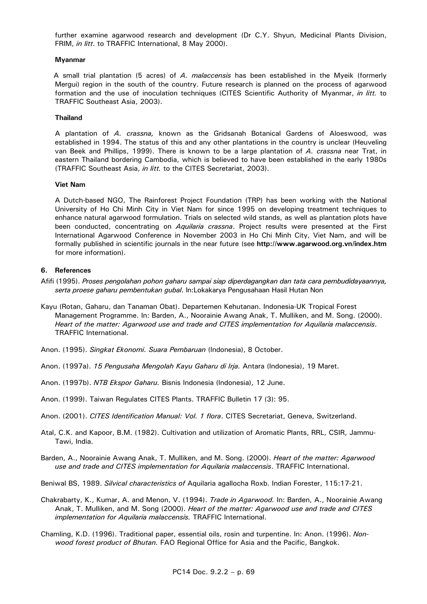further examine agarwood research and development (Dr C.Y. Shyun, Medicinal Plants Division, FRIM, *in litt*. to TRAFFIC International, 8 May 2000).

#### **Myanmar**

 A small trial plantation (5 acres) of *A. malaccensis* has been established in the Myeik (formerly Mergui) region in the south of the country. Future research is planned on the process of agarwood formation and the use of inoculation techniques (CITES Scientific Authority of Myanmar, *in litt.* to TRAFFIC Southeast Asia, 2003).

#### **Thailand**

 A plantation of *A. crassna,* known as the Gridsanah Botanical Gardens of Aloeswood, was established in 1994. The status of this and any other plantations in the country is unclear (Heuveling van Beek and Phillips, 1999). There is known to be a large plantation of *A. crassna* near Trat, in eastern Thailand bordering Cambodia, which is believed to have been established in the early 1980s (TRAFFIC Southeast Asia, *in litt.* to the CITES Secretariat, 2003).

# **Viet Nam**

 A Dutch-based NGO, The Rainforest Project Foundation (TRP) has been working with the National University of Ho Chi Minh City in Viet Nam for since 1995 on developing treatment techniques to enhance natural agarwood formulation. Trials on selected wild stands, as well as plantation plots have been conducted, concentrating on *Aquilaria crassna*. Project results were presented at the First International Agarwood Conference in November 2003 in Ho Chi Minh City, Viet Nam, and will be formally published in scientific journals in the near future (see **http://www.agarwood.org.vn/index.htm** for more information).

#### **6. References**

- Afifi (1995). *Proses pengolahan pohon gaharu sampai siap diperdagangkan dan tata cara pembudidayaannya, serta proese gaharu pembentukan gubal*. In:Lokakarya Pengusahaan Hasil Hutan Non
- Kayu (Rotan, Gaharu, dan Tanaman Obat). Departemen Kehutanan. Indonesia-UK Tropical Forest Management Programme. In: Barden, A., Noorainie Awang Anak, T. Mulliken, and M. Song. (2000). *Heart of the matter: Agarwood use and trade and CITES implementation for Aquilaria malaccensis*. TRAFFIC International.
- Anon. (1995). *Singkat Ekonomi. Suara Pembaruan* (Indonesia), 8 October.
- Anon. (1997a). *15 Pengusaha Mengolah Kayu Gaharu di Irja.* Antara (Indonesia), 19 Maret.
- Anon. (1997b). *NTB Ekspor Gaharu.* Bisnis Indonesia (Indonesia), 12 June.
- Anon. (1999). Taiwan Regulates CITES Plants. TRAFFIC Bulletin 17 (3): 95.
- Anon. (2001). *CITES Identification Manual: Vol. 1 flora*. CITES Secretariat, Geneva, Switzerland.
- Atal, C.K. and Kapoor, B.M. (1982). Cultivation and utilization of Aromatic Plants, RRL, CSIR, Jammu-Tawi, India.
- Barden, A., Noorainie Awang Anak, T. Mulliken, and M. Song. (2000). *Heart of the matter: Agarwood use and trade and CITES implementation for Aquilaria malaccensis*. TRAFFIC International.
- Beniwal BS, 1989. *Silvical characteristics of* Aquilaria agallocha Roxb. Indian Forester, 115:17-21.
- Chakrabarty, K., Kumar, A. and Menon, V. (1994). *Trade in Agarwood.* In: Barden, A., Noorainie Awang Anak, T. Mulliken, and M. Song (2000). *Heart of the matter: Agarwood use and trade and CITES implementation for Aquilaria malaccensis.* TRAFFIC International.
- Chamling, K.D. (1996). Traditional paper, essential oils, rosin and turpentine. In: Anon. (1996). *Nonwood forest product of Bhutan.* FAO Regional Office for Asia and the Pacific, Bangkok.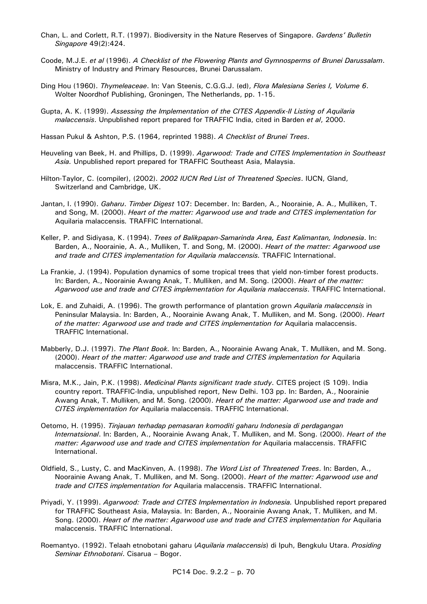- Chan, L. and Corlett, R.T. (1997). Biodiversity in the Nature Reserves of Singapore. *Gardens' Bulletin Singapore* 49(2):424.
- Coode, M.J.E. *et al* (1996). *A Checklist of the Flowering Plants and Gymnosperms of Brunei Darussalam*. Ministry of Industry and Primary Resources, Brunei Darussalam.
- Ding Hou (1960). *Thymeleaceae*. In: Van Steenis, C.G.G.J. (ed), *Flora Malesiana Series I, Volume 6*. Wolter Noordhof Publishing, Groningen, The Netherlands, pp. 1-15.
- Gupta, A. K. (1999). *Assessing the Implementation of the CITES Appendix-II Listing of Aquilaria malaccensis*. Unpublished report prepared for TRAFFIC India, cited in Barden *et al*, 2000.

Hassan Pukul & Ashton, P.S. (1964, reprinted 1988). *A Checklist of Brunei Trees*.

- Heuveling van Beek, H. and Phillips, D. (1999). *Agarwood: Trade and CITES Implementation in Southeast Asia.* Unpublished report prepared for TRAFFIC Southeast Asia, Malaysia.
- Hilton-Taylor, C. (compiler), (2002). *2002 IUCN Red List of Threatened Species*. IUCN, Gland, Switzerland and Cambridge, UK.
- Jantan, I. (1990). *Gaharu*. *Timber Digest* 107: December. In: Barden, A., Noorainie, A. A., Mulliken, T. and Song, M. (2000). *Heart of the matter: Agarwood use and trade and CITES implementation for*  Aquilaria malaccensis*.* TRAFFIC International.
- Keller, P. and Sidiyasa, K. (1994). *Trees of Balikpapan-Samarinda Area, East Kalimantan, Indonesia*. In: Barden, A., Noorainie, A. A., Mulliken, T. and Song, M. (2000). *Heart of the matter: Agarwood use and trade and CITES implementation for Aquilaria malaccensis.* TRAFFIC International.
- La Frankie, J. (1994). Population dynamics of some tropical trees that yield non-timber forest products. In: Barden, A., Noorainie Awang Anak, T. Mulliken, and M. Song. (2000). *Heart of the matter: Agarwood use and trade and CITES implementation for Aquilaria malaccensis*. TRAFFIC International.
- Lok, E. and Zuhaidi, A. (1996). The growth performance of plantation grown *Aquilaria malaccensis* in Peninsular Malaysia. In: Barden, A., Noorainie Awang Anak, T. Mulliken, and M. Song. (2000). *Heart of the matter: Agarwood use and trade and CITES implementation for Aquilaria malaccensis.* TRAFFIC International.
- Mabberly, D.J. (1997). *The Plant Book.* In: Barden, A., Noorainie Awang Anak, T. Mulliken, and M. Song. (2000). *Heart of the matter: Agarwood use and trade and CITES implementation for Aquilaria* malaccensis. TRAFFIC International.
- Misra, M.K., Jain, P.K. (1998). *Medicinal Plants significant trade study*. CITES project (S 109). India country report. TRAFFIC-India, unpublished report, New Delhi. 103 pp. In: Barden, A., Noorainie Awang Anak, T. Mulliken, and M. Song. (2000). *Heart of the matter: Agarwood use and trade and CITES implementation for* Aquilaria malaccensis. TRAFFIC International.
- Oetomo, H. (1995). *Tinjauan terhadap pemasaran komoditi gaharu Indonesia di perdagangan Internatsional*. In: Barden, A., Noorainie Awang Anak, T. Mulliken, and M. Song. (2000). *Heart of the matter: Agarwood use and trade and CITES implementation for Aquilaria malaccensis. TRAFFIC* International.
- Oldfield, S., Lusty, C. and MacKinven, A. (1998). *The Word List of Threatened Trees*. In: Barden, A., Noorainie Awang Anak, T. Mulliken, and M. Song. (2000). *Heart of the matter: Agarwood use and trade and CITES implementation for* Aquilaria malaccensis. TRAFFIC International.
- Priyadi, Y. (1999). *Agarwood: Trade and CITES Implementation in Indonesia.* Unpublished report prepared for TRAFFIC Southeast Asia, Malaysia. In: Barden, A., Noorainie Awang Anak, T. Mulliken, and M. Song. (2000). *Heart of the matter: Agarwood use and trade and CITES implementation for Aquilaria* malaccensis. TRAFFIC International.
- Roemantyo. (1992). Telaah etnobotani gaharu (*Aquilaria malaccensis*) di Ipuh, Bengkulu Utara. *Prosiding Seminar Ethnobotani*. Cisarua – Bogor.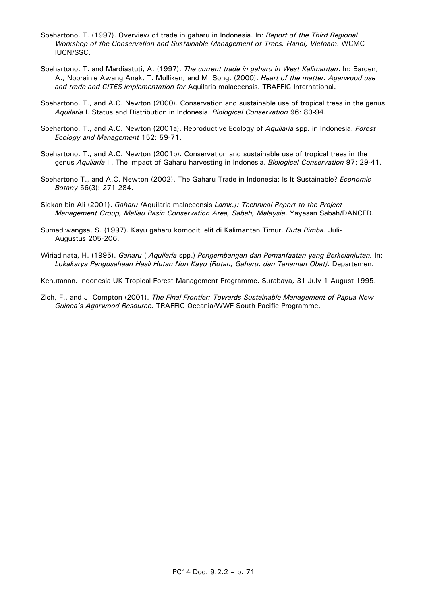- Soehartono, T. (1997). Overview of trade in gaharu in Indonesia. In: *Report of the Third Regional Workshop of the Conservation and Sustainable Management of Trees. Hanoi, Vietnam*. WCMC IUCN/SSC.
- Soehartono, T. and Mardiastuti, A. (1997). *The current trade in gaharu in West Kalimantan*. In: Barden, A., Noorainie Awang Anak, T. Mulliken, and M. Song. (2000). *Heart of the matter: Agarwood use and trade and CITES implementation for* Aquilaria malaccensis. TRAFFIC International.
- Soehartono, T., and A.C. Newton (2000). Conservation and sustainable use of tropical trees in the genus *Aquilaria* I. Status and Distribution in Indonesia*. Biological Conservation* 96: 83-94.
- Soehartono, T., and A.C. Newton (2001a). Reproductive Ecology of *Aquilaria* spp. in Indonesia. *Forest Ecology and Management* 152: 59-71.
- Soehartono, T., and A.C. Newton (2001b). Conservation and sustainable use of tropical trees in the genus *Aquilaria* II. The impact of Gaharu harvesting in Indonesia. *Biological Conservation* 97: 29-41.
- Soehartono T., and A.C. Newton (2002). The Gaharu Trade in Indonesia: Is It Sustainable? *Economic Botany* 56(3): 271-284.
- Sidkan bin Ali (2001). *Gaharu (*Aquilaria malaccensis *Lamk.): Technical Report to the Project Management Group, Maliau Basin Conservation Area, Sabah, Malaysia*. Yayasan Sabah/DANCED.
- Sumadiwangsa, S. (1997). Kayu gaharu komoditi elit di Kalimantan Timur. *Duta Rimba*. Juli-Augustus:205-206.
- Wiriadinata, H. (1995). *Gaharu* ( *Aquilaria* spp.) *Pengembangan dan Pemanfaatan yang Berkelanjutan.* In: *Lokakarya Pengusahaan Hasil Hutan Non Kayu (Rotan, Gaharu, dan Tanaman Obat)*. Departemen.

Kehutanan. Indonesia-UK Tropical Forest Management Programme. Surabaya, 31 July-1 August 1995.

Zich, F., and J. Compton (2001). *The Final Frontier: Towards Sustainable Management of Papua New Guinea's Agarwood Resource.* TRAFFIC Oceania/WWF South Pacific Programme.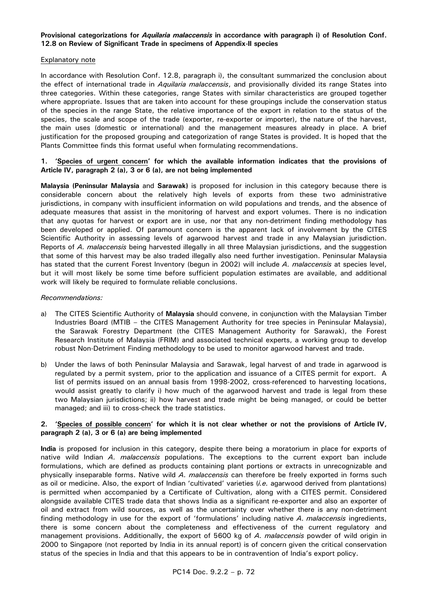# **Provisional categorizations for** *Aquilaria malaccensis* **in accordance with paragraph i) of Resolution Conf. 12.8 on Review of Significant Trade in specimens of Appendix-II species**

#### Explanatory note

In accordance with Resolution Conf. 12.8, paragraph i), the consultant summarized the conclusion about the effect of international trade in *Aquilaria malaccensis*, and provisionally divided its range States into three categories. Within these categories, range States with similar characteristics are grouped together where appropriate. Issues that are taken into account for these groupings include the conservation status of the species in the range State, the relative importance of the export in relation to the status of the species, the scale and scope of the trade (exporter, re-exporter or importer), the nature of the harvest, the main uses (domestic or international) and the management measures already in place. A brief justification for the proposed grouping and categorization of range States is provided. It is hoped that the Plants Committee finds this format useful when formulating recommendations.

# **1. 'Species of urgent concern' for which the available information indicates that the provisions of Article IV, paragraph 2 (a), 3 or 6 (a), are not being implemented**

**Malaysia (Peninsular Malaysia** and **Sarawak)** is proposed for inclusion in this category because there is considerable concern about the relatively high levels of exports from these two administrative jurisdictions, in company with insufficient information on wild populations and trends, and the absence of adequate measures that assist in the monitoring of harvest and export volumes. There is no indication that any quotas for harvest or export are in use, nor that any non-detriment finding methodology has been developed or applied. Of paramount concern is the apparent lack of involvement by the CITES Scientific Authority in assessing levels of agarwood harvest and trade in any Malaysian jurisdiction. Reports of *A. malaccensis* being harvested illegally in all three Malaysian jurisdictions, and the suggestion that some of this harvest may be also traded illegally also need further investigation. Peninsular Malaysia has stated that the current Forest Inventory (begun in 2002) will include *A. malaccensis* at species level, but it will most likely be some time before sufficient population estimates are available, and additional work will likely be required to formulate reliable conclusions.

# *Recommendations:*

- a) The CITES Scientific Authority of **Malaysia** should convene, in conjunction with the Malaysian Timber Industries Board (MTIB – the CITES Management Authority for tree species in Peninsular Malaysia), the Sarawak Forestry Department (the CITES Management Authority for Sarawak), the Forest Research Institute of Malaysia (FRIM) and associated technical experts, a working group to develop robust Non-Detriment Finding methodology to be used to monitor agarwood harvest and trade.
- b) Under the laws of both Peninsular Malaysia and Sarawak, legal harvest of and trade in agarwood is regulated by a permit system, prior to the application and issuance of a CITES permit for export. A list of permits issued on an annual basis from 1998-2002, cross-referenced to harvesting locations, would assist greatly to clarify i) how much of the agarwood harvest and trade is legal from these two Malaysian jurisdictions; ii) how harvest and trade might be being managed, or could be better managed; and iii) to cross-check the trade statistics.

#### **2. 'Species of possible concern' for which it is not clear whether or not the provisions of Article IV, paragraph 2 (a), 3 or 6 (a) are being implemented**

**India** is proposed for inclusion in this category, despite there being a moratorium in place for exports of native wild Indian *A. malaccensis* populations. The exceptions to the current export ban include formulations, which are defined as products containing plant portions or extracts in unrecognizable and physically inseparable forms. Native wild *A. malaccensis* can therefore be freely exported in forms such as oil or medicine. Also, the export of Indian 'cultivated' varieties (*i.e.* agarwood derived from plantations) is permitted when accompanied by a Certificate of Cultivation, along with a CITES permit. Considered alongside available CITES trade data that shows India as a significant re-exporter and also an exporter of oil and extract from wild sources, as well as the uncertainty over whether there is any non-detriment finding methodology in use for the export of 'formulations' including native *A. malaccensis* ingredients, there is some concern about the completeness and effectiveness of the current regulatory and management provisions. Additionally, the export of 5600 kg of *A. malaccensis* powder of wild origin in 2000 to Singapore (not reported by India in its annual report) is of concern given the critical conservation status of the species in India and that this appears to be in contravention of India's export policy.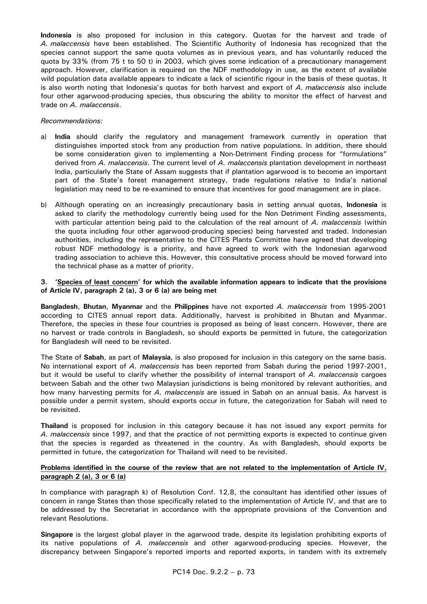**Indonesia** is also proposed for inclusion in this category. Quotas for the harvest and trade of *A. malaccensis* have been established. The Scientific Authority of Indonesia has recognized that the species cannot support the same quota volumes as in previous years, and has voluntarily reduced the quota by 33% (from 75 t to 50 t) in 2003, which gives some indication of a precautionary management approach. However, clarification is required on the NDF methodology in use, as the extent of available wild population data available appears to indicate a lack of scientific rigour in the basis of these quotas. It is also worth noting that Indonesia's quotas for both harvest and export of *A. malaccensis* also include four other agarwood-producing species, thus obscuring the ability to monitor the effect of harvest and trade on *A. malaccensis*.

# *Recommendations:*

- a) **India** should clarify the regulatory and management framework currently in operation that distinguishes imported stock from any production from native populations. In addition, there should be some consideration given to implementing a Non-Detriment Finding process for "formulations" derived from *A. malaccensis*. The current level of *A. malaccensis* plantation development in northeast India, particularly the State of Assam suggests that if plantation agarwood is to become an important part of the State's forest management strategy, trade regulations relative to India's national legislation may need to be re-examined to ensure that incentives for good management are in place.
- b) Although operating on an increasingly precautionary basis in setting annual quotas, **Indonesia** is asked to clarify the methodology currently being used for the Non Detriment Finding assessments, with particular attention being paid to the calculation of the real amount of *A. malaccensis* (within the quota including four other agarwood-producing species) being harvested and traded. Indonesian authorities, including the representative to the CITES Plants Committee have agreed that developing robust NDF methodology is a priority, and have agreed to work with the Indonesian agarwood trading association to achieve this. However, this consultative process should be moved forward into the technical phase as a matter of priority.

# **3. 'Species of least concern' for which the available information appears to indicate that the provisions of Article IV, paragraph 2 (a), 3 or 6 (a) are being met**

**Bangladesh**, **Bhutan**, **Myanmar** and the **Philippines** have not exported *A. malaccensis* from 1995-2001 according to CITES annual report data. Additionally, harvest is prohibited in Bhutan and Myanmar. Therefore, the species in these four countries is proposed as being of least concern. However, there are no harvest or trade controls in Bangladesh, so should exports be permitted in future, the categorization for Bangladesh will need to be revisited.

The State of **Sabah**, as part of **Malaysia**, is also proposed for inclusion in this category on the same basis. No international export of *A. malaccensis* has been reported from Sabah during the period 1997-2001, but it would be useful to clarify whether the possibility of internal transport of *A. malaccensis* cargoes between Sabah and the other two Malaysian jurisdictions is being monitored by relevant authorities, and how many harvesting permits for *A. malaccensis* are issued in Sabah on an annual basis. As harvest is possible under a permit system, should exports occur in future, the categorization for Sabah will need to be revisited.

**Thailand** is proposed for inclusion in this category because it has not issued any export permits for *A. malaccensis* since 1997, and that the practice of not permitting exports is expected to continue given that the species is regarded as threatened in the country. As with Bangladesh, should exports be permitted in future, the categorization for Thailand will need to be revisited.

# **Problems identified in the course of the review that are not related to the implementation of Article IV, paragraph 2 (a), 3 or 6 (a)**

In compliance with paragraph k) of Resolution Conf. 12.8, the consultant has identified other issues of concern in range States than those specifically related to the implementation of Article IV, and that are to be addressed by the Secretariat in accordance with the appropriate provisions of the Convention and relevant Resolutions.

**Singapore** is the largest global player in the agarwood trade, despite its legislation prohibiting exports of its native populations of *A. malaccensis* and other agarwood-producing species. However, the discrepancy between Singapore's reported imports and reported exports, in tandem with its extremely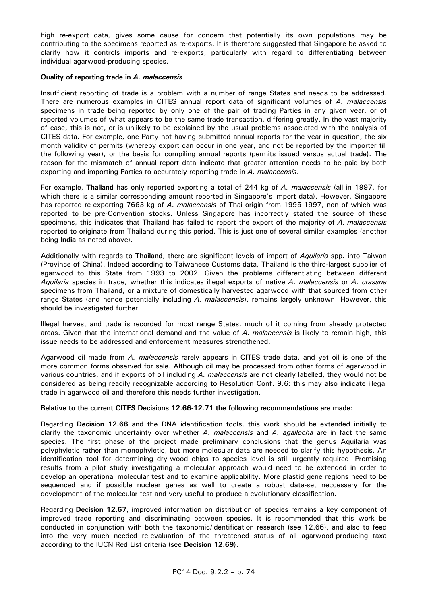high re-export data, gives some cause for concern that potentially its own populations may be contributing to the specimens reported as re-exports. It is therefore suggested that Singapore be asked to clarify how it controls imports and re-exports, particularly with regard to differentiating between individual agarwood-producing species.

# **Quality of reporting trade in** *A. malaccensis*

Insufficient reporting of trade is a problem with a number of range States and needs to be addressed. There are numerous examples in CITES annual report data of significant volumes of *A. malaccensis*  specimens in trade being reported by only one of the pair of trading Parties in any given year, or of reported volumes of what appears to be the same trade transaction, differing greatly. In the vast majority of case, this is not, or is unlikely to be explained by the usual problems associated with the analysis of CITES data. For example, one Party not having submitted annual reports for the year in question, the six month validity of permits (whereby export can occur in one year, and not be reported by the importer till the following year), or the basis for compiling annual reports (permits issued versus actual trade). The reason for the mismatch of annual report data indicate that greater attention needs to be paid by both exporting and importing Parties to accurately reporting trade in *A. malaccensis*.

For example, **Thailand** has only reported exporting a total of 244 kg of *A. malaccensis* (all in 1997, for which there is a similar corresponding amount reported in Singapore's import data). However, Singapore has reported re-exporting 7663 kg of *A. malaccensis* of Thai origin from 1995-1997, non of which was reported to be pre-Convention stocks. Unless Singapore has incorrectly stated the source of these specimens, this indicates that Thailand has failed to report the export of the majority of *A. malaccensis*  reported to originate from Thailand during this period. This is just one of several similar examples (another being **India** as noted above).

Additionally with regards to **Thailand**, there are significant levels of import of *Aquilaria* spp*.* into Taiwan (Province of China). Indeed according to Taiwanese Customs data, Thailand is the third-largest supplier of agarwood to this State from 1993 to 2002. Given the problems differentiating between different *Aquilaria* species in trade, whether this indicates illegal exports of native *A. malaccensis* or *A. crassna*  specimens from Thailand, or a mixture of domestically harvested agarwood with that sourced from other range States (and hence potentially including *A. malaccensis*), remains largely unknown. However, this should be investigated further.

Illegal harvest and trade is recorded for most range States, much of it coming from already protected areas. Given that the international demand and the value of *A. malaccensis* is likely to remain high, this issue needs to be addressed and enforcement measures strengthened.

Agarwood oil made from *A. malaccensis* rarely appears in CITES trade data, and yet oil is one of the more common forms observed for sale. Although oil may be processed from other forms of agarwood in various countries, and if exports of oil including *A. malaccensis* are not clearly labelled, they would not be considered as being readily recognizable according to Resolution Conf. 9.6: this may also indicate illegal trade in agarwood oil and therefore this needs further investigation.

#### **Relative to the current CITES Decisions 12.66-12.71 the following recommendations are made:**

Regarding **Decision 12.66** and the DNA identification tools, this work should be extended initially to clarify the taxonomic uncertainty over whether *A. malaccensis* and *A. agallocha* are in fact the same species. The first phase of the project made preliminary conclusions that the genus Aquilaria was polyphyletic rather than monophyletic, but more molecular data are needed to clarify this hypothesis. An identification tool for determining dry-wood chips to species level is still urgently required. Promising results from a pilot study investigating a molecular approach would need to be extended in order to develop an operational molecular test and to examine applicability. More plastid gene regions need to be sequenced and if possible nuclear genes as well to create a robust data-set neccessary for the development of the molecular test and very useful to produce a evolutionary classification.

Regarding **Decision 12.67**, improved information on distribution of species remains a key component of improved trade reporting and discriminating between species. It is recommended that this work be conducted in conjunction with both the taxonomic/identification research (see 12.66), and also to feed into the very much needed re-evaluation of the threatened status of all agarwood-producing taxa according to the IUCN Red List criteria (see **Decision 12.69**).